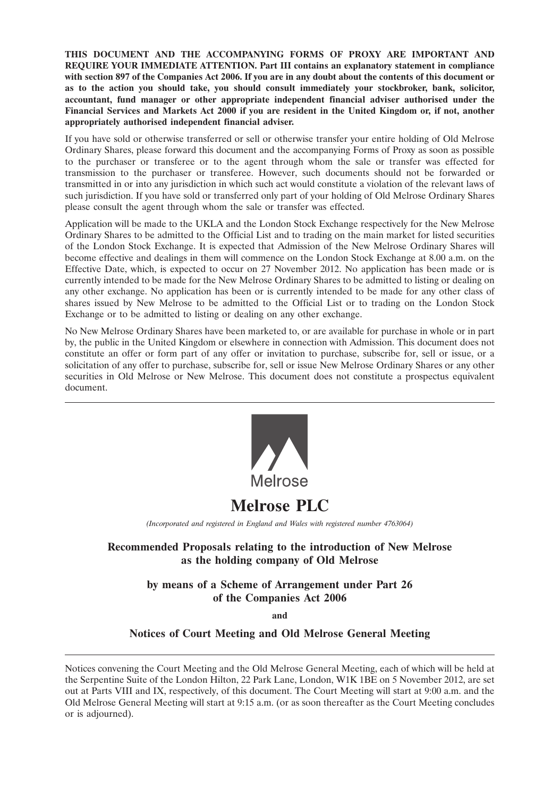**THIS DOCUMENT AND THE ACCOMPANYING FORMS OF PROXY ARE IMPORTANT AND REQUIRE YOUR IMMEDIATE ATTENTION. Part III contains an explanatory statement in compliance with section 897 of the Companies Act 2006. If you are in any doubt about the contents of this document or as to the action you should take, you should consult immediately your stockbroker, bank, solicitor, accountant, fund manager or other appropriate independent financial adviser authorised under the Financial Services and Markets Act 2000 if you are resident in the United Kingdom or, if not, another appropriately authorised independent financial adviser.**

If you have sold or otherwise transferred or sell or otherwise transfer your entire holding of Old Melrose Ordinary Shares, please forward this document and the accompanying Forms of Proxy as soon as possible to the purchaser or transferee or to the agent through whom the sale or transfer was effected for transmission to the purchaser or transferee. However, such documents should not be forwarded or transmitted in or into any jurisdiction in which such act would constitute a violation of the relevant laws of such jurisdiction. If you have sold or transferred only part of your holding of Old Melrose Ordinary Shares please consult the agent through whom the sale or transfer was effected.

Application will be made to the UKLA and the London Stock Exchange respectively for the New Melrose Ordinary Shares to be admitted to the Official List and to trading on the main market for listed securities of the London Stock Exchange. It is expected that Admission of the New Melrose Ordinary Shares will become effective and dealings in them will commence on the London Stock Exchange at 8.00 a.m. on the Effective Date, which, is expected to occur on 27 November 2012. No application has been made or is currently intended to be made for the New Melrose Ordinary Shares to be admitted to listing or dealing on any other exchange. No application has been or is currently intended to be made for any other class of shares issued by New Melrose to be admitted to the Official List or to trading on the London Stock Exchange or to be admitted to listing or dealing on any other exchange.

No New Melrose Ordinary Shares have been marketed to, or are available for purchase in whole or in part by, the public in the United Kingdom or elsewhere in connection with Admission. This document does not constitute an offer or form part of any offer or invitation to purchase, subscribe for, sell or issue, or a solicitation of any offer to purchase, subscribe for, sell or issue New Melrose Ordinary Shares or any other securities in Old Melrose or New Melrose. This document does not constitute a prospectus equivalent document.



# **Melrose PLC**

*(Incorporated and registered in England and Wales with registered number 4763064)*

# **Recommended Proposals relating to the introduction of New Melrose as the holding company of Old Melrose**

# **by means of a Scheme of Arrangement under Part 26 of the Companies Act 2006**

**and**

# **Notices of Court Meeting and Old Melrose General Meeting**

Notices convening the Court Meeting and the Old Melrose General Meeting, each of which will be held at the Serpentine Suite of the London Hilton, 22 Park Lane, London, W1K 1BE on 5 November 2012, are set out at Parts VIII and IX, respectively, of this document. The Court Meeting will start at 9:00 a.m. and the Old Melrose General Meeting will start at 9:15 a.m. (or as soon thereafter as the Court Meeting concludes or is adjourned).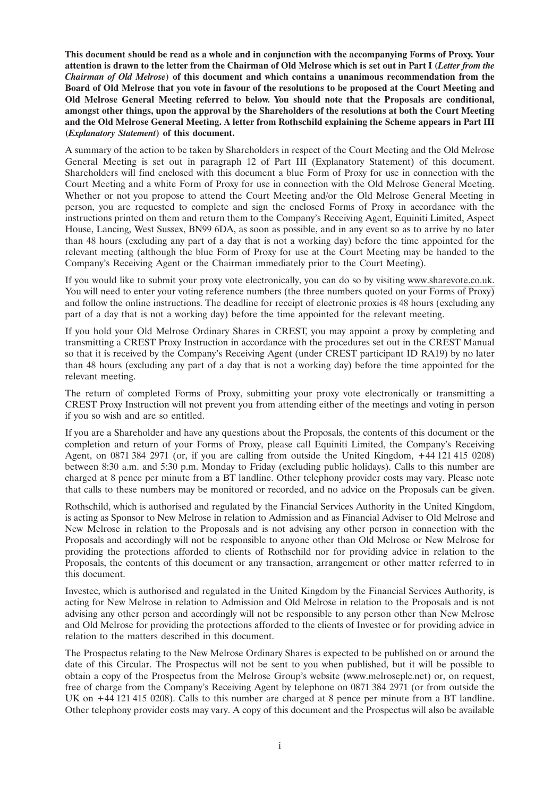**This document should be read as a whole and in conjunction with the accompanying Forms of Proxy. Your attention is drawn to the letter from the Chairman of Old Melrose which is set out in Part I (***Letter from the Chairman of Old Melrose***) of this document and which contains a unanimous recommendation from the Board of Old Melrose that you vote in favour of the resolutions to be proposed at the Court Meeting and Old Melrose General Meeting referred to below. You should note that the Proposals are conditional, amongst other things, upon the approval by the Shareholders of the resolutions at both the Court Meeting and the Old Melrose General Meeting. A letter from Rothschild explaining the Scheme appears in Part III (***Explanatory Statement***) of this document.**

A summary of the action to be taken by Shareholders in respect of the Court Meeting and the Old Melrose General Meeting is set out in paragraph 12 of Part III (Explanatory Statement) of this document. Shareholders will find enclosed with this document a blue Form of Proxy for use in connection with the Court Meeting and a white Form of Proxy for use in connection with the Old Melrose General Meeting. Whether or not you propose to attend the Court Meeting and/or the Old Melrose General Meeting in person, you are requested to complete and sign the enclosed Forms of Proxy in accordance with the instructions printed on them and return them to the Company's Receiving Agent, Equiniti Limited, Aspect House, Lancing, West Sussex, BN99 6DA, as soon as possible, and in any event so as to arrive by no later than 48 hours (excluding any part of a day that is not a working day) before the time appointed for the relevant meeting (although the blue Form of Proxy for use at the Court Meeting may be handed to the Company's Receiving Agent or the Chairman immediately prior to the Court Meeting).

If you would like to submit your proxy vote electronically, you can do so by visiting www.sharevote.co.uk. You will need to enter your voting reference numbers (the three numbers quoted on your Forms of Proxy) and follow the online instructions. The deadline for receipt of electronic proxies is 48 hours (excluding any part of a day that is not a working day) before the time appointed for the relevant meeting.

If you hold your Old Melrose Ordinary Shares in CREST, you may appoint a proxy by completing and transmitting a CREST Proxy Instruction in accordance with the procedures set out in the CREST Manual so that it is received by the Company's Receiving Agent (under CREST participant ID RA19) by no later than 48 hours (excluding any part of a day that is not a working day) before the time appointed for the relevant meeting.

The return of completed Forms of Proxy, submitting your proxy vote electronically or transmitting a CREST Proxy Instruction will not prevent you from attending either of the meetings and voting in person if you so wish and are so entitled.

If you are a Shareholder and have any questions about the Proposals, the contents of this document or the completion and return of your Forms of Proxy, please call Equiniti Limited, the Company's Receiving Agent, on 0871 384 2971 (or, if you are calling from outside the United Kingdom, +44 121 415 0208) between 8:30 a.m. and 5:30 p.m. Monday to Friday (excluding public holidays). Calls to this number are charged at 8 pence per minute from a BT landline. Other telephony provider costs may vary. Please note that calls to these numbers may be monitored or recorded, and no advice on the Proposals can be given.

Rothschild, which is authorised and regulated by the Financial Services Authority in the United Kingdom, is acting as Sponsor to New Melrose in relation to Admission and as Financial Adviser to Old Melrose and New Melrose in relation to the Proposals and is not advising any other person in connection with the Proposals and accordingly will not be responsible to anyone other than Old Melrose or New Melrose for providing the protections afforded to clients of Rothschild nor for providing advice in relation to the Proposals, the contents of this document or any transaction, arrangement or other matter referred to in this document.

Investec, which is authorised and regulated in the United Kingdom by the Financial Services Authority, is acting for New Melrose in relation to Admission and Old Melrose in relation to the Proposals and is not advising any other person and accordingly will not be responsible to any person other than New Melrose and Old Melrose for providing the protections afforded to the clients of Investec or for providing advice in relation to the matters described in this document.

The Prospectus relating to the New Melrose Ordinary Shares is expected to be published on or around the date of this Circular. The Prospectus will not be sent to you when published, but it will be possible to obtain a copy of the Prospectus from the Melrose Group's website (www.melroseplc.net) or, on request, free of charge from the Company's Receiving Agent by telephone on 0871 384 2971 (or from outside the UK on +44 121 415 0208). Calls to this number are charged at 8 pence per minute from a BT landline. Other telephony provider costs may vary. A copy of this document and the Prospectus will also be available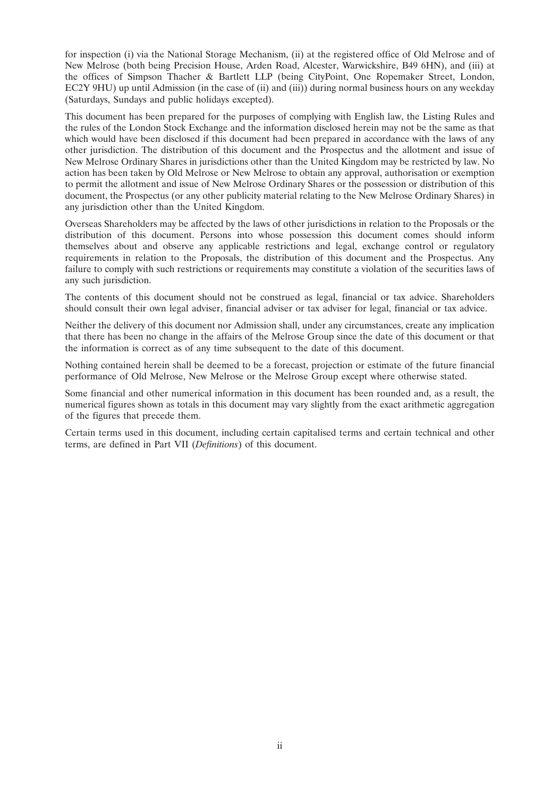for inspection (i) via the National Storage Mechanism, (ii) at the registered office of Old Melrose and of New Melrose (both being Precision House, Arden Road, Alcester, Warwickshire, B49 6HN), and (iii) at the offices of Simpson Thacher & Bartlett LLP (being CityPoint, One Ropemaker Street, London, EC2Y 9HU) up until Admission (in the case of (ii) and (iii)) during normal business hours on any weekday (Saturdays, Sundays and public holidays excepted).

This document has been prepared for the purposes of complying with English law, the Listing Rules and the rules of the London Stock Exchange and the information disclosed herein may not be the same as that which would have been disclosed if this document had been prepared in accordance with the laws of any other jurisdiction. The distribution of this document and the Prospectus and the allotment and issue of New Melrose Ordinary Shares in jurisdictions other than the United Kingdom may be restricted by law. No action has been taken by Old Melrose or New Melrose to obtain any approval, authorisation or exemption to permit the allotment and issue of New Melrose Ordinary Shares or the possession or distribution of this document, the Prospectus (or any other publicity material relating to the New Melrose Ordinary Shares) in any jurisdiction other than the United Kingdom.

Overseas Shareholders may be affected by the laws of other jurisdictions in relation to the Proposals or the distribution of this document. Persons into whose possession this document comes should inform themselves about and observe any applicable restrictions and legal, exchange control or regulatory requirements in relation to the Proposals, the distribution of this document and the Prospectus. Any failure to comply with such restrictions or requirements may constitute a violation of the securities laws of any such jurisdiction.

The contents of this document should not be construed as legal, financial or tax advice. Shareholders should consult their own legal adviser, financial adviser or tax adviser for legal, financial or tax advice.

Neither the delivery of this document nor Admission shall, under any circumstances, create any implication that there has been no change in the affairs of the Melrose Group since the date of this document or that the information is correct as of any time subsequent to the date of this document.

Nothing contained herein shall be deemed to be a forecast, projection or estimate of the future financial performance of Old Melrose, New Melrose or the Melrose Group except where otherwise stated.

Some financial and other numerical information in this document has been rounded and, as a result, the numerical figures shown as totals in this document may vary slightly from the exact arithmetic aggregation of the figures that precede them.

Certain terms used in this document, including certain capitalised terms and certain technical and other terms, are defined in Part VII (*Definitions*) of this document.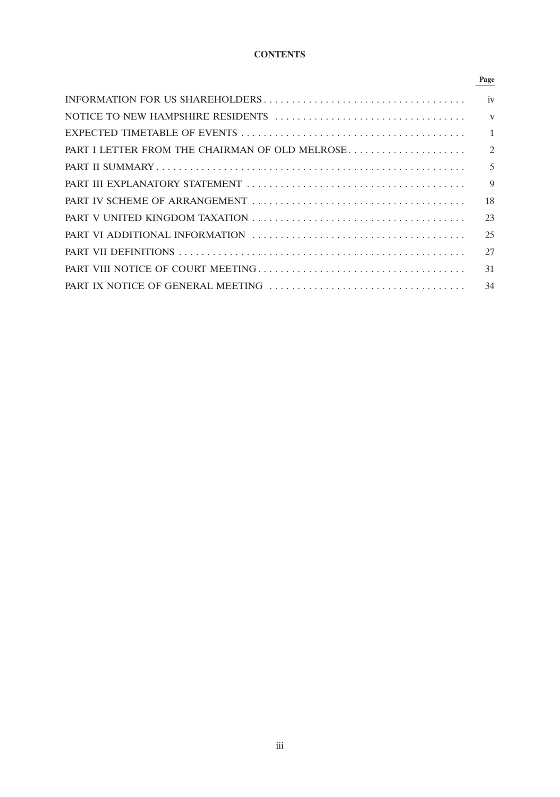# **CONTENTS**

| Page           |
|----------------|
|                |
|                |
|                |
|                |
| $\overline{5}$ |
| 9              |
| 18             |
| 23             |
| 25             |
| 27             |
| 31             |
| 34             |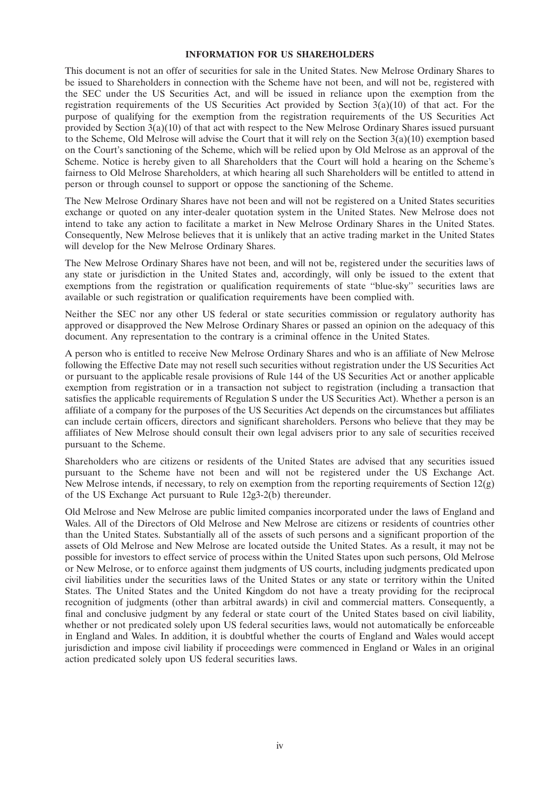#### **INFORMATION FOR US SHAREHOLDERS**

This document is not an offer of securities for sale in the United States. New Melrose Ordinary Shares to be issued to Shareholders in connection with the Scheme have not been, and will not be, registered with the SEC under the US Securities Act, and will be issued in reliance upon the exemption from the registration requirements of the US Securities Act provided by Section  $3(a)(10)$  of that act. For the purpose of qualifying for the exemption from the registration requirements of the US Securities Act provided by Section 3(a)(10) of that act with respect to the New Melrose Ordinary Shares issued pursuant to the Scheme, Old Melrose will advise the Court that it will rely on the Section  $3(a)(10)$  exemption based on the Court's sanctioning of the Scheme, which will be relied upon by Old Melrose as an approval of the Scheme. Notice is hereby given to all Shareholders that the Court will hold a hearing on the Scheme's fairness to Old Melrose Shareholders, at which hearing all such Shareholders will be entitled to attend in person or through counsel to support or oppose the sanctioning of the Scheme.

The New Melrose Ordinary Shares have not been and will not be registered on a United States securities exchange or quoted on any inter-dealer quotation system in the United States. New Melrose does not intend to take any action to facilitate a market in New Melrose Ordinary Shares in the United States. Consequently, New Melrose believes that it is unlikely that an active trading market in the United States will develop for the New Melrose Ordinary Shares.

The New Melrose Ordinary Shares have not been, and will not be, registered under the securities laws of any state or jurisdiction in the United States and, accordingly, will only be issued to the extent that exemptions from the registration or qualification requirements of state ''blue-sky'' securities laws are available or such registration or qualification requirements have been complied with.

Neither the SEC nor any other US federal or state securities commission or regulatory authority has approved or disapproved the New Melrose Ordinary Shares or passed an opinion on the adequacy of this document. Any representation to the contrary is a criminal offence in the United States.

A person who is entitled to receive New Melrose Ordinary Shares and who is an affiliate of New Melrose following the Effective Date may not resell such securities without registration under the US Securities Act or pursuant to the applicable resale provisions of Rule 144 of the US Securities Act or another applicable exemption from registration or in a transaction not subject to registration (including a transaction that satisfies the applicable requirements of Regulation S under the US Securities Act). Whether a person is an affiliate of a company for the purposes of the US Securities Act depends on the circumstances but affiliates can include certain officers, directors and significant shareholders. Persons who believe that they may be affiliates of New Melrose should consult their own legal advisers prior to any sale of securities received pursuant to the Scheme.

Shareholders who are citizens or residents of the United States are advised that any securities issued pursuant to the Scheme have not been and will not be registered under the US Exchange Act. New Melrose intends, if necessary, to rely on exemption from the reporting requirements of Section  $12(g)$ of the US Exchange Act pursuant to Rule 12g3-2(b) thereunder.

Old Melrose and New Melrose are public limited companies incorporated under the laws of England and Wales. All of the Directors of Old Melrose and New Melrose are citizens or residents of countries other than the United States. Substantially all of the assets of such persons and a significant proportion of the assets of Old Melrose and New Melrose are located outside the United States. As a result, it may not be possible for investors to effect service of process within the United States upon such persons, Old Melrose or New Melrose, or to enforce against them judgments of US courts, including judgments predicated upon civil liabilities under the securities laws of the United States or any state or territory within the United States. The United States and the United Kingdom do not have a treaty providing for the reciprocal recognition of judgments (other than arbitral awards) in civil and commercial matters. Consequently, a final and conclusive judgment by any federal or state court of the United States based on civil liability, whether or not predicated solely upon US federal securities laws, would not automatically be enforceable in England and Wales. In addition, it is doubtful whether the courts of England and Wales would accept jurisdiction and impose civil liability if proceedings were commenced in England or Wales in an original action predicated solely upon US federal securities laws.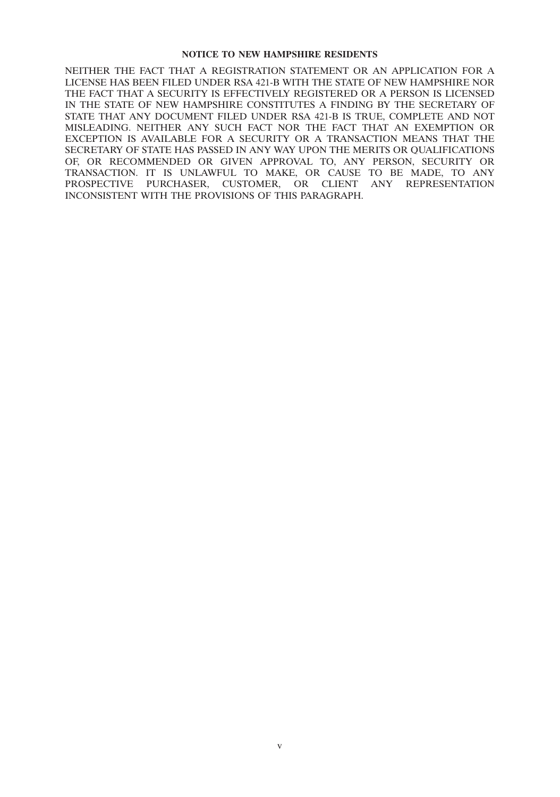#### **NOTICE TO NEW HAMPSHIRE RESIDENTS**

NEITHER THE FACT THAT A REGISTRATION STATEMENT OR AN APPLICATION FOR A LICENSE HAS BEEN FILED UNDER RSA 421-B WITH THE STATE OF NEW HAMPSHIRE NOR THE FACT THAT A SECURITY IS EFFECTIVELY REGISTERED OR A PERSON IS LICENSED IN THE STATE OF NEW HAMPSHIRE CONSTITUTES A FINDING BY THE SECRETARY OF STATE THAT ANY DOCUMENT FILED UNDER RSA 421-B IS TRUE, COMPLETE AND NOT MISLEADING. NEITHER ANY SUCH FACT NOR THE FACT THAT AN EXEMPTION OR EXCEPTION IS AVAILABLE FOR A SECURITY OR A TRANSACTION MEANS THAT THE SECRETARY OF STATE HAS PASSED IN ANY WAY UPON THE MERITS OR QUALIFICATIONS OF, OR RECOMMENDED OR GIVEN APPROVAL TO, ANY PERSON, SECURITY OR TRANSACTION. IT IS UNLAWFUL TO MAKE, OR CAUSE TO BE MADE, TO ANY PROSPECTIVE PURCHASER, CUSTOMER, OR CLIENT ANY REPRESENTATION INCONSISTENT WITH THE PROVISIONS OF THIS PARAGRAPH.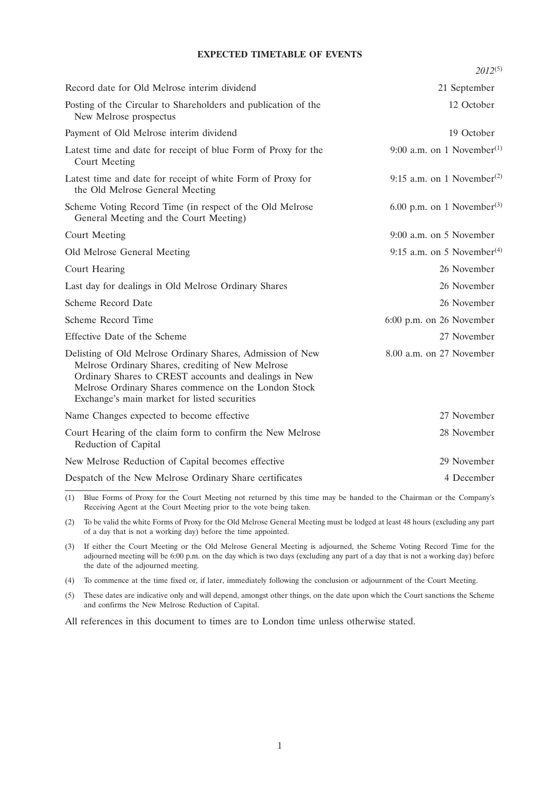# **EXPECTED TIMETABLE OF EVENTS**

*2012*(5)

|                                                                                                                                                                                                                                                                                  | $2012^{(3)}$                           |
|----------------------------------------------------------------------------------------------------------------------------------------------------------------------------------------------------------------------------------------------------------------------------------|----------------------------------------|
| Record date for Old Melrose interim dividend                                                                                                                                                                                                                                     | 21 September                           |
| Posting of the Circular to Shareholders and publication of the<br>New Melrose prospectus                                                                                                                                                                                         | 12 October                             |
| Payment of Old Melrose interim dividend                                                                                                                                                                                                                                          | 19 October                             |
| Latest time and date for receipt of blue Form of Proxy for the<br><b>Court Meeting</b>                                                                                                                                                                                           | 9:00 a.m. on 1 November <sup>(1)</sup> |
| Latest time and date for receipt of white Form of Proxy for<br>the Old Melrose General Meeting                                                                                                                                                                                   | 9:15 a.m. on 1 November <sup>(2)</sup> |
| Scheme Voting Record Time (in respect of the Old Melrose<br>General Meeting and the Court Meeting)                                                                                                                                                                               | 6.00 p.m. on 1 November <sup>(3)</sup> |
| Court Meeting                                                                                                                                                                                                                                                                    | 9:00 a.m. on 5 November                |
| Old Melrose General Meeting                                                                                                                                                                                                                                                      | 9:15 a.m. on 5 November <sup>(4)</sup> |
| Court Hearing                                                                                                                                                                                                                                                                    | 26 November                            |
| Last day for dealings in Old Melrose Ordinary Shares                                                                                                                                                                                                                             | 26 November                            |
| Scheme Record Date                                                                                                                                                                                                                                                               | 26 November                            |
| Scheme Record Time                                                                                                                                                                                                                                                               | 6:00 p.m. on 26 November               |
| Effective Date of the Scheme                                                                                                                                                                                                                                                     | 27 November                            |
| Delisting of Old Melrose Ordinary Shares, Admission of New<br>Melrose Ordinary Shares, crediting of New Melrose<br>Ordinary Shares to CREST accounts and dealings in New<br>Melrose Ordinary Shares commence on the London Stock<br>Exchange's main market for listed securities | 8.00 a.m. on 27 November               |
| Name Changes expected to become effective                                                                                                                                                                                                                                        | 27 November                            |
| Court Hearing of the claim form to confirm the New Melrose<br>Reduction of Capital                                                                                                                                                                                               | 28 November                            |
| New Melrose Reduction of Capital becomes effective                                                                                                                                                                                                                               | 29 November                            |
| Despatch of the New Melrose Ordinary Share certificates                                                                                                                                                                                                                          | 4 December                             |
|                                                                                                                                                                                                                                                                                  |                                        |

(1) Blue Forms of Proxy for the Court Meeting not returned by this time may be handed to the Chairman or the Company's Receiving Agent at the Court Meeting prior to the vote being taken.

(2) To be valid the white Forms of Proxy for the Old Melrose General Meeting must be lodged at least 48 hours (excluding any part of a day that is not a working day) before the time appointed.

(3) If either the Court Meeting or the Old Melrose General Meeting is adjourned, the Scheme Voting Record Time for the adjourned meeting will be 6:00 p.m. on the day which is two days (excluding any part of a day that is not a working day) before the date of the adjourned meeting.

(4) To commence at the time fixed or, if later, immediately following the conclusion or adjournment of the Court Meeting.

(5) These dates are indicative only and will depend, amongst other things, on the date upon which the Court sanctions the Scheme and confirms the New Melrose Reduction of Capital.

All references in this document to times are to London time unless otherwise stated.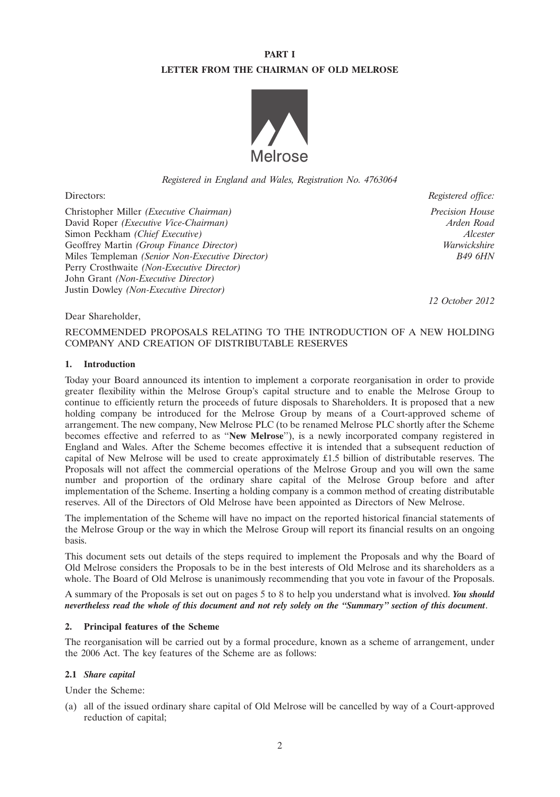# **PART I LETTER FROM THE CHAIRMAN OF OLD MELROSE**



*Registered in England and Wales, Registration No. 4763064*

Christopher Miller *(Executive Chairman) Precision House* David Roper *(Executive Vice-Chairman) Arden Road* Simon Peckham *(Chief Executive) Alcester* Geoffrey Martin *(Group Finance Director) Warwickshire* Miles Templeman *(Senior Non-Executive Director) B49 6HN* Perry Crosthwaite *(Non-Executive Director)* John Grant *(Non-Executive Director)* Justin Dowley *(Non-Executive Director)*

Directors: *Registered office:*

*12 October 2012*

Dear Shareholder,

# RECOMMENDED PROPOSALS RELATING TO THE INTRODUCTION OF A NEW HOLDING COMPANY AND CREATION OF DISTRIBUTABLE RESERVES

#### **1. Introduction**

Today your Board announced its intention to implement a corporate reorganisation in order to provide greater flexibility within the Melrose Group's capital structure and to enable the Melrose Group to continue to efficiently return the proceeds of future disposals to Shareholders. It is proposed that a new holding company be introduced for the Melrose Group by means of a Court-approved scheme of arrangement. The new company, New Melrose PLC (to be renamed Melrose PLC shortly after the Scheme becomes effective and referred to as ''**New Melrose**''), is a newly incorporated company registered in England and Wales. After the Scheme becomes effective it is intended that a subsequent reduction of capital of New Melrose will be used to create approximately £1.5 billion of distributable reserves. The Proposals will not affect the commercial operations of the Melrose Group and you will own the same number and proportion of the ordinary share capital of the Melrose Group before and after implementation of the Scheme. Inserting a holding company is a common method of creating distributable reserves. All of the Directors of Old Melrose have been appointed as Directors of New Melrose.

The implementation of the Scheme will have no impact on the reported historical financial statements of the Melrose Group or the way in which the Melrose Group will report its financial results on an ongoing basis.

This document sets out details of the steps required to implement the Proposals and why the Board of Old Melrose considers the Proposals to be in the best interests of Old Melrose and its shareholders as a whole. The Board of Old Melrose is unanimously recommending that you vote in favour of the Proposals.

A summary of the Proposals is set out on pages 5 to 8 to help you understand what is involved. *You should nevertheless read the whole of this document and not rely solely on the ''Summary'' section of this document*.

#### **2. Principal features of the Scheme**

The reorganisation will be carried out by a formal procedure, known as a scheme of arrangement, under the 2006 Act. The key features of the Scheme are as follows:

#### **2.1** *Share capital*

Under the Scheme:

(a) all of the issued ordinary share capital of Old Melrose will be cancelled by way of a Court-approved reduction of capital;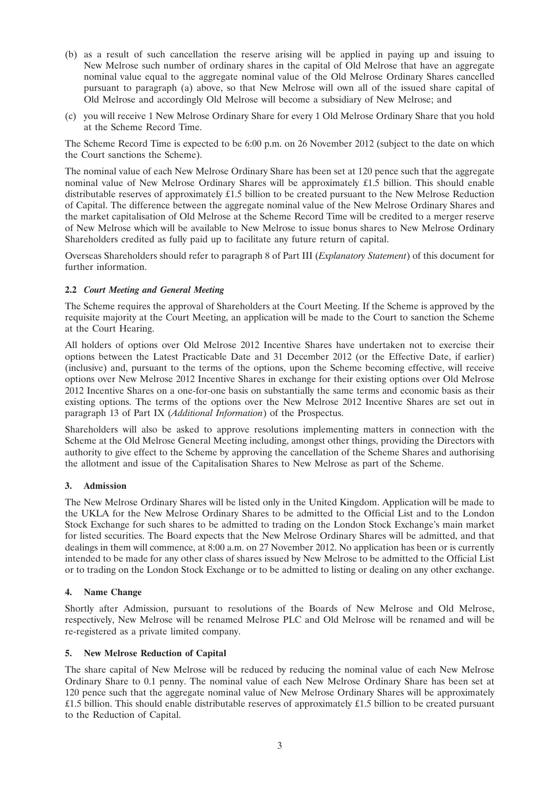- (b) as a result of such cancellation the reserve arising will be applied in paying up and issuing to New Melrose such number of ordinary shares in the capital of Old Melrose that have an aggregate nominal value equal to the aggregate nominal value of the Old Melrose Ordinary Shares cancelled pursuant to paragraph (a) above, so that New Melrose will own all of the issued share capital of Old Melrose and accordingly Old Melrose will become a subsidiary of New Melrose; and
- (c) you will receive 1 New Melrose Ordinary Share for every 1 Old Melrose Ordinary Share that you hold at the Scheme Record Time.

The Scheme Record Time is expected to be 6:00 p.m. on 26 November 2012 (subject to the date on which the Court sanctions the Scheme).

The nominal value of each New Melrose Ordinary Share has been set at 120 pence such that the aggregate nominal value of New Melrose Ordinary Shares will be approximately £1.5 billion. This should enable distributable reserves of approximately £1.5 billion to be created pursuant to the New Melrose Reduction of Capital. The difference between the aggregate nominal value of the New Melrose Ordinary Shares and the market capitalisation of Old Melrose at the Scheme Record Time will be credited to a merger reserve of New Melrose which will be available to New Melrose to issue bonus shares to New Melrose Ordinary Shareholders credited as fully paid up to facilitate any future return of capital.

Overseas Shareholders should refer to paragraph 8 of Part III (*Explanatory Statement*) of this document for further information.

# **2.2** *Court Meeting and General Meeting*

The Scheme requires the approval of Shareholders at the Court Meeting. If the Scheme is approved by the requisite majority at the Court Meeting, an application will be made to the Court to sanction the Scheme at the Court Hearing.

All holders of options over Old Melrose 2012 Incentive Shares have undertaken not to exercise their options between the Latest Practicable Date and 31 December 2012 (or the Effective Date, if earlier) (inclusive) and, pursuant to the terms of the options, upon the Scheme becoming effective, will receive options over New Melrose 2012 Incentive Shares in exchange for their existing options over Old Melrose 2012 Incentive Shares on a one-for-one basis on substantially the same terms and economic basis as their existing options. The terms of the options over the New Melrose 2012 Incentive Shares are set out in paragraph 13 of Part IX (*Additional Information*) of the Prospectus.

Shareholders will also be asked to approve resolutions implementing matters in connection with the Scheme at the Old Melrose General Meeting including, amongst other things, providing the Directors with authority to give effect to the Scheme by approving the cancellation of the Scheme Shares and authorising the allotment and issue of the Capitalisation Shares to New Melrose as part of the Scheme.

#### **3. Admission**

The New Melrose Ordinary Shares will be listed only in the United Kingdom. Application will be made to the UKLA for the New Melrose Ordinary Shares to be admitted to the Official List and to the London Stock Exchange for such shares to be admitted to trading on the London Stock Exchange's main market for listed securities. The Board expects that the New Melrose Ordinary Shares will be admitted, and that dealings in them will commence, at 8:00 a.m. on 27 November 2012. No application has been or is currently intended to be made for any other class of shares issued by New Melrose to be admitted to the Official List or to trading on the London Stock Exchange or to be admitted to listing or dealing on any other exchange.

#### **4. Name Change**

Shortly after Admission, pursuant to resolutions of the Boards of New Melrose and Old Melrose, respectively, New Melrose will be renamed Melrose PLC and Old Melrose will be renamed and will be re-registered as a private limited company.

#### **5. New Melrose Reduction of Capital**

The share capital of New Melrose will be reduced by reducing the nominal value of each New Melrose Ordinary Share to 0.1 penny. The nominal value of each New Melrose Ordinary Share has been set at 120 pence such that the aggregate nominal value of New Melrose Ordinary Shares will be approximately £1.5 billion. This should enable distributable reserves of approximately £1.5 billion to be created pursuant to the Reduction of Capital.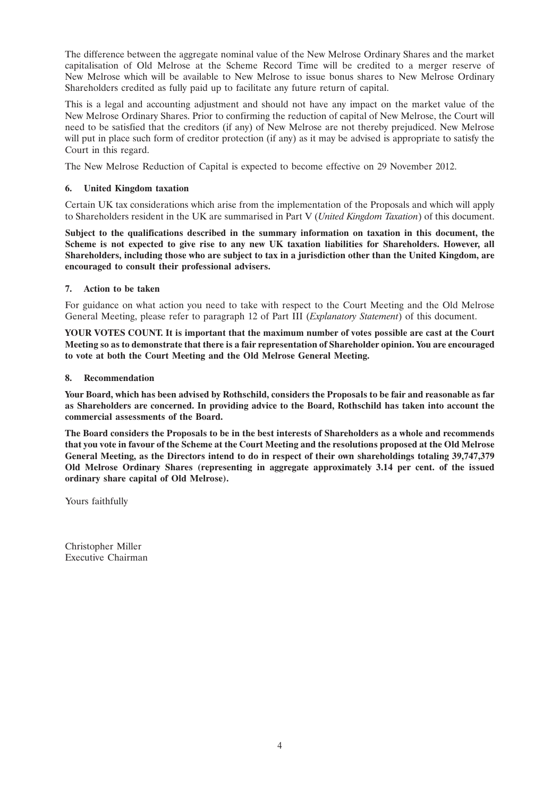The difference between the aggregate nominal value of the New Melrose Ordinary Shares and the market capitalisation of Old Melrose at the Scheme Record Time will be credited to a merger reserve of New Melrose which will be available to New Melrose to issue bonus shares to New Melrose Ordinary Shareholders credited as fully paid up to facilitate any future return of capital.

This is a legal and accounting adjustment and should not have any impact on the market value of the New Melrose Ordinary Shares. Prior to confirming the reduction of capital of New Melrose, the Court will need to be satisfied that the creditors (if any) of New Melrose are not thereby prejudiced. New Melrose will put in place such form of creditor protection (if any) as it may be advised is appropriate to satisfy the Court in this regard.

The New Melrose Reduction of Capital is expected to become effective on 29 November 2012.

# **6. United Kingdom taxation**

Certain UK tax considerations which arise from the implementation of the Proposals and which will apply to Shareholders resident in the UK are summarised in Part V (*United Kingdom Taxation*) of this document.

**Subject to the qualifications described in the summary information on taxation in this document, the Scheme is not expected to give rise to any new UK taxation liabilities for Shareholders. However, all Shareholders, including those who are subject to tax in a jurisdiction other than the United Kingdom, are encouraged to consult their professional advisers.**

#### **7. Action to be taken**

For guidance on what action you need to take with respect to the Court Meeting and the Old Melrose General Meeting, please refer to paragraph 12 of Part III (*Explanatory Statement*) of this document.

**YOUR VOTES COUNT. It is important that the maximum number of votes possible are cast at the Court Meeting so as to demonstrate that there is a fair representation of Shareholder opinion. You are encouraged to vote at both the Court Meeting and the Old Melrose General Meeting.**

#### **8. Recommendation**

**Your Board, which has been advised by Rothschild, considers the Proposals to be fair and reasonable as far as Shareholders are concerned. In providing advice to the Board, Rothschild has taken into account the commercial assessments of the Board.**

**The Board considers the Proposals to be in the best interests of Shareholders as a whole and recommends that you vote in favour of the Scheme at the Court Meeting and the resolutions proposed at the Old Melrose General Meeting, as the Directors intend to do in respect of their own shareholdings totaling 39,747,379 Old Melrose Ordinary Shares (representing in aggregate approximately 3.14 per cent. of the issued ordinary share capital of Old Melrose).**

Yours faithfully

Christopher Miller Executive Chairman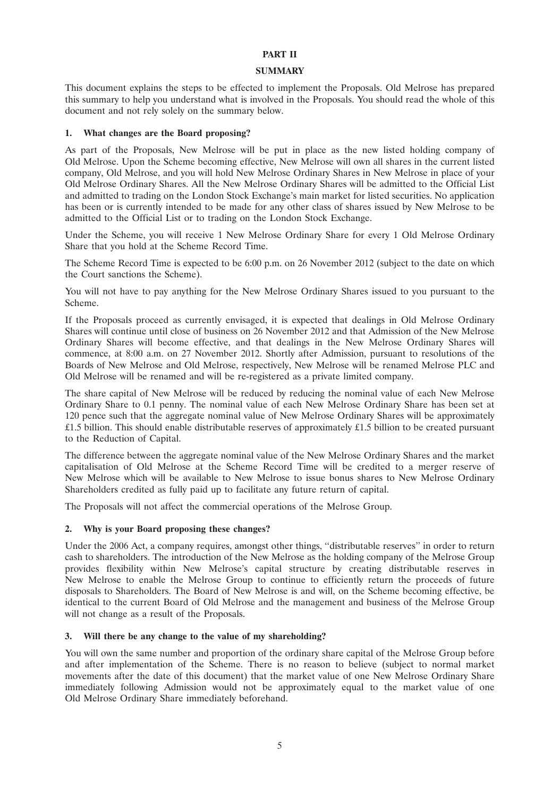#### **PART II**

#### **SUMMARY**

This document explains the steps to be effected to implement the Proposals. Old Melrose has prepared this summary to help you understand what is involved in the Proposals. You should read the whole of this document and not rely solely on the summary below.

# **1. What changes are the Board proposing?**

As part of the Proposals, New Melrose will be put in place as the new listed holding company of Old Melrose. Upon the Scheme becoming effective, New Melrose will own all shares in the current listed company, Old Melrose, and you will hold New Melrose Ordinary Shares in New Melrose in place of your Old Melrose Ordinary Shares. All the New Melrose Ordinary Shares will be admitted to the Official List and admitted to trading on the London Stock Exchange's main market for listed securities. No application has been or is currently intended to be made for any other class of shares issued by New Melrose to be admitted to the Official List or to trading on the London Stock Exchange.

Under the Scheme, you will receive 1 New Melrose Ordinary Share for every 1 Old Melrose Ordinary Share that you hold at the Scheme Record Time.

The Scheme Record Time is expected to be 6:00 p.m. on 26 November 2012 (subject to the date on which the Court sanctions the Scheme).

You will not have to pay anything for the New Melrose Ordinary Shares issued to you pursuant to the Scheme.

If the Proposals proceed as currently envisaged, it is expected that dealings in Old Melrose Ordinary Shares will continue until close of business on 26 November 2012 and that Admission of the New Melrose Ordinary Shares will become effective, and that dealings in the New Melrose Ordinary Shares will commence, at 8:00 a.m. on 27 November 2012. Shortly after Admission, pursuant to resolutions of the Boards of New Melrose and Old Melrose, respectively, New Melrose will be renamed Melrose PLC and Old Melrose will be renamed and will be re-registered as a private limited company.

The share capital of New Melrose will be reduced by reducing the nominal value of each New Melrose Ordinary Share to 0.1 penny. The nominal value of each New Melrose Ordinary Share has been set at 120 pence such that the aggregate nominal value of New Melrose Ordinary Shares will be approximately £1.5 billion. This should enable distributable reserves of approximately £1.5 billion to be created pursuant to the Reduction of Capital.

The difference between the aggregate nominal value of the New Melrose Ordinary Shares and the market capitalisation of Old Melrose at the Scheme Record Time will be credited to a merger reserve of New Melrose which will be available to New Melrose to issue bonus shares to New Melrose Ordinary Shareholders credited as fully paid up to facilitate any future return of capital.

The Proposals will not affect the commercial operations of the Melrose Group.

# **2. Why is your Board proposing these changes?**

Under the 2006 Act, a company requires, amongst other things, ''distributable reserves'' in order to return cash to shareholders. The introduction of the New Melrose as the holding company of the Melrose Group provides flexibility within New Melrose's capital structure by creating distributable reserves in New Melrose to enable the Melrose Group to continue to efficiently return the proceeds of future disposals to Shareholders. The Board of New Melrose is and will, on the Scheme becoming effective, be identical to the current Board of Old Melrose and the management and business of the Melrose Group will not change as a result of the Proposals.

#### **3. Will there be any change to the value of my shareholding?**

You will own the same number and proportion of the ordinary share capital of the Melrose Group before and after implementation of the Scheme. There is no reason to believe (subject to normal market movements after the date of this document) that the market value of one New Melrose Ordinary Share immediately following Admission would not be approximately equal to the market value of one Old Melrose Ordinary Share immediately beforehand.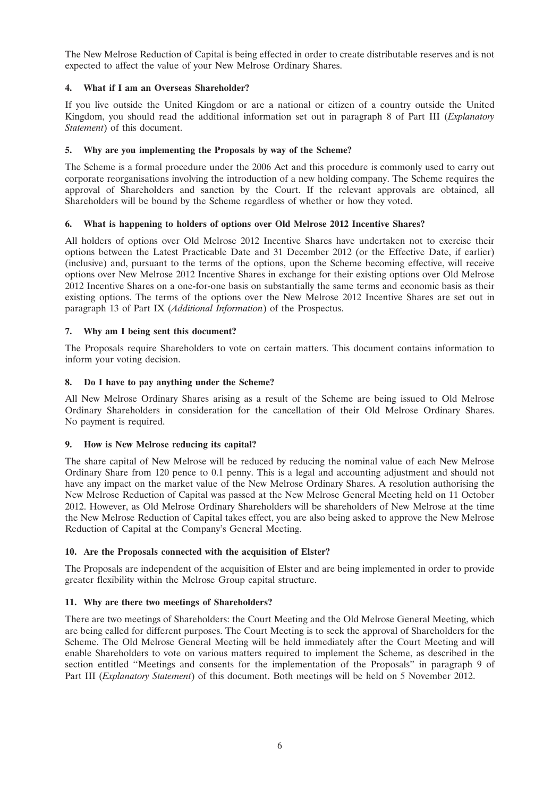The New Melrose Reduction of Capital is being effected in order to create distributable reserves and is not expected to affect the value of your New Melrose Ordinary Shares.

# **4. What if I am an Overseas Shareholder?**

If you live outside the United Kingdom or are a national or citizen of a country outside the United Kingdom, you should read the additional information set out in paragraph 8 of Part III (*Explanatory Statement*) of this document.

# **5. Why are you implementing the Proposals by way of the Scheme?**

The Scheme is a formal procedure under the 2006 Act and this procedure is commonly used to carry out corporate reorganisations involving the introduction of a new holding company. The Scheme requires the approval of Shareholders and sanction by the Court. If the relevant approvals are obtained, all Shareholders will be bound by the Scheme regardless of whether or how they voted.

# **6. What is happening to holders of options over Old Melrose 2012 Incentive Shares?**

All holders of options over Old Melrose 2012 Incentive Shares have undertaken not to exercise their options between the Latest Practicable Date and 31 December 2012 (or the Effective Date, if earlier) (inclusive) and, pursuant to the terms of the options, upon the Scheme becoming effective, will receive options over New Melrose 2012 Incentive Shares in exchange for their existing options over Old Melrose 2012 Incentive Shares on a one-for-one basis on substantially the same terms and economic basis as their existing options. The terms of the options over the New Melrose 2012 Incentive Shares are set out in paragraph 13 of Part IX (*Additional Information*) of the Prospectus.

#### **7. Why am I being sent this document?**

The Proposals require Shareholders to vote on certain matters. This document contains information to inform your voting decision.

#### **8. Do I have to pay anything under the Scheme?**

All New Melrose Ordinary Shares arising as a result of the Scheme are being issued to Old Melrose Ordinary Shareholders in consideration for the cancellation of their Old Melrose Ordinary Shares. No payment is required.

# **9. How is New Melrose reducing its capital?**

The share capital of New Melrose will be reduced by reducing the nominal value of each New Melrose Ordinary Share from 120 pence to 0.1 penny. This is a legal and accounting adjustment and should not have any impact on the market value of the New Melrose Ordinary Shares. A resolution authorising the New Melrose Reduction of Capital was passed at the New Melrose General Meeting held on 11 October 2012. However, as Old Melrose Ordinary Shareholders will be shareholders of New Melrose at the time the New Melrose Reduction of Capital takes effect, you are also being asked to approve the New Melrose Reduction of Capital at the Company's General Meeting.

#### **10. Are the Proposals connected with the acquisition of Elster?**

The Proposals are independent of the acquisition of Elster and are being implemented in order to provide greater flexibility within the Melrose Group capital structure.

# **11. Why are there two meetings of Shareholders?**

There are two meetings of Shareholders: the Court Meeting and the Old Melrose General Meeting, which are being called for different purposes. The Court Meeting is to seek the approval of Shareholders for the Scheme. The Old Melrose General Meeting will be held immediately after the Court Meeting and will enable Shareholders to vote on various matters required to implement the Scheme, as described in the section entitled "Meetings and consents for the implementation of the Proposals" in paragraph 9 of Part III (*Explanatory Statement*) of this document. Both meetings will be held on 5 November 2012.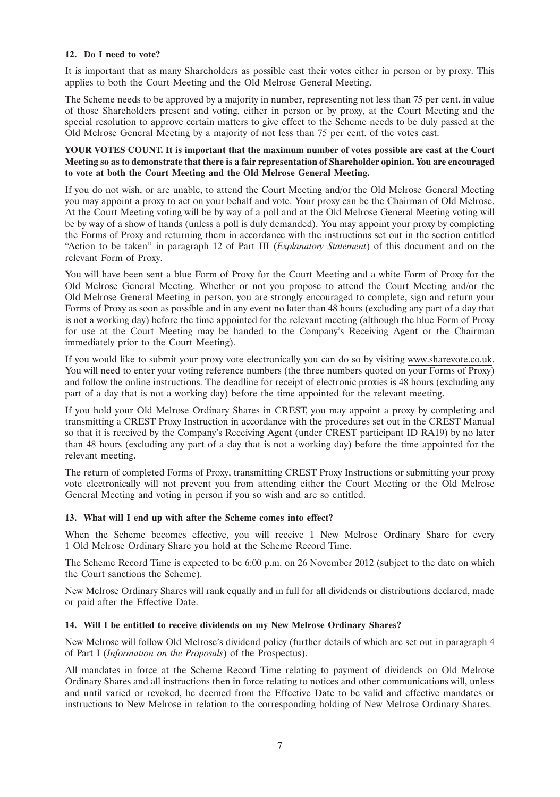### **12. Do I need to vote?**

It is important that as many Shareholders as possible cast their votes either in person or by proxy. This applies to both the Court Meeting and the Old Melrose General Meeting.

The Scheme needs to be approved by a majority in number, representing not less than 75 per cent. in value of those Shareholders present and voting, either in person or by proxy, at the Court Meeting and the special resolution to approve certain matters to give effect to the Scheme needs to be duly passed at the Old Melrose General Meeting by a majority of not less than 75 per cent. of the votes cast.

#### **YOUR VOTES COUNT. It is important that the maximum number of votes possible are cast at the Court Meeting so as to demonstrate that there is a fair representation of Shareholder opinion. You are encouraged to vote at both the Court Meeting and the Old Melrose General Meeting.**

If you do not wish, or are unable, to attend the Court Meeting and/or the Old Melrose General Meeting you may appoint a proxy to act on your behalf and vote. Your proxy can be the Chairman of Old Melrose. At the Court Meeting voting will be by way of a poll and at the Old Melrose General Meeting voting will be by way of a show of hands (unless a poll is duly demanded). You may appoint your proxy by completing the Forms of Proxy and returning them in accordance with the instructions set out in the section entitled ''Action to be taken'' in paragraph 12 of Part III (*Explanatory Statement*) of this document and on the relevant Form of Proxy.

You will have been sent a blue Form of Proxy for the Court Meeting and a white Form of Proxy for the Old Melrose General Meeting. Whether or not you propose to attend the Court Meeting and/or the Old Melrose General Meeting in person, you are strongly encouraged to complete, sign and return your Forms of Proxy as soon as possible and in any event no later than 48 hours (excluding any part of a day that is not a working day) before the time appointed for the relevant meeting (although the blue Form of Proxy for use at the Court Meeting may be handed to the Company's Receiving Agent or the Chairman immediately prior to the Court Meeting).

If you would like to submit your proxy vote electronically you can do so by visiting www.sharevote.co.uk. You will need to enter your voting reference numbers (the three numbers quoted on your Forms of Proxy) and follow the online instructions. The deadline for receipt of electronic proxies is 48 hours (excluding any part of a day that is not a working day) before the time appointed for the relevant meeting.

If you hold your Old Melrose Ordinary Shares in CREST, you may appoint a proxy by completing and transmitting a CREST Proxy Instruction in accordance with the procedures set out in the CREST Manual so that it is received by the Company's Receiving Agent (under CREST participant ID RA19) by no later than 48 hours (excluding any part of a day that is not a working day) before the time appointed for the relevant meeting.

The return of completed Forms of Proxy, transmitting CREST Proxy Instructions or submitting your proxy vote electronically will not prevent you from attending either the Court Meeting or the Old Melrose General Meeting and voting in person if you so wish and are so entitled.

# **13. What will I end up with after the Scheme comes into effect?**

When the Scheme becomes effective, you will receive 1 New Melrose Ordinary Share for every 1 Old Melrose Ordinary Share you hold at the Scheme Record Time.

The Scheme Record Time is expected to be 6:00 p.m. on 26 November 2012 (subject to the date on which the Court sanctions the Scheme).

New Melrose Ordinary Shares will rank equally and in full for all dividends or distributions declared, made or paid after the Effective Date.

#### **14. Will I be entitled to receive dividends on my New Melrose Ordinary Shares?**

New Melrose will follow Old Melrose's dividend policy (further details of which are set out in paragraph 4 of Part I (*Information on the Proposals*) of the Prospectus).

All mandates in force at the Scheme Record Time relating to payment of dividends on Old Melrose Ordinary Shares and all instructions then in force relating to notices and other communications will, unless and until varied or revoked, be deemed from the Effective Date to be valid and effective mandates or instructions to New Melrose in relation to the corresponding holding of New Melrose Ordinary Shares.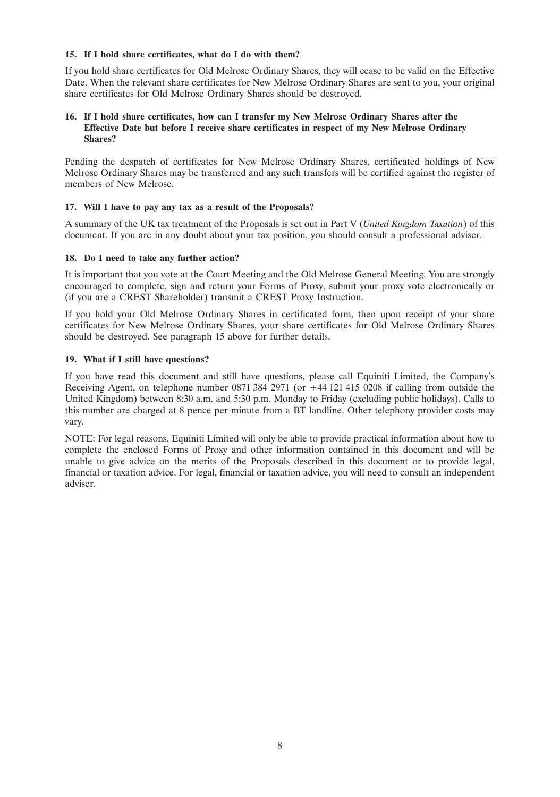#### **15. If I hold share certificates, what do I do with them?**

If you hold share certificates for Old Melrose Ordinary Shares, they will cease to be valid on the Effective Date. When the relevant share certificates for New Melrose Ordinary Shares are sent to you, your original share certificates for Old Melrose Ordinary Shares should be destroyed.

#### **16. If I hold share certificates, how can I transfer my New Melrose Ordinary Shares after the Effective Date but before I receive share certificates in respect of my New Melrose Ordinary Shares?**

Pending the despatch of certificates for New Melrose Ordinary Shares, certificated holdings of New Melrose Ordinary Shares may be transferred and any such transfers will be certified against the register of members of New Melrose.

# **17. Will I have to pay any tax as a result of the Proposals?**

A summary of the UK tax treatment of the Proposals is set out in Part V (*United Kingdom Taxation*) of this document. If you are in any doubt about your tax position, you should consult a professional adviser.

#### **18. Do I need to take any further action?**

It is important that you vote at the Court Meeting and the Old Melrose General Meeting. You are strongly encouraged to complete, sign and return your Forms of Proxy, submit your proxy vote electronically or (if you are a CREST Shareholder) transmit a CREST Proxy Instruction.

If you hold your Old Melrose Ordinary Shares in certificated form, then upon receipt of your share certificates for New Melrose Ordinary Shares, your share certificates for Old Melrose Ordinary Shares should be destroyed. See paragraph 15 above for further details.

# **19. What if I still have questions?**

If you have read this document and still have questions, please call Equiniti Limited, the Company's Receiving Agent, on telephone number 0871 384 2971 (or +44 121 415 0208 if calling from outside the United Kingdom) between 8:30 a.m. and 5:30 p.m. Monday to Friday (excluding public holidays). Calls to this number are charged at 8 pence per minute from a BT landline. Other telephony provider costs may vary.

NOTE: For legal reasons, Equiniti Limited will only be able to provide practical information about how to complete the enclosed Forms of Proxy and other information contained in this document and will be unable to give advice on the merits of the Proposals described in this document or to provide legal, financial or taxation advice. For legal, financial or taxation advice, you will need to consult an independent adviser.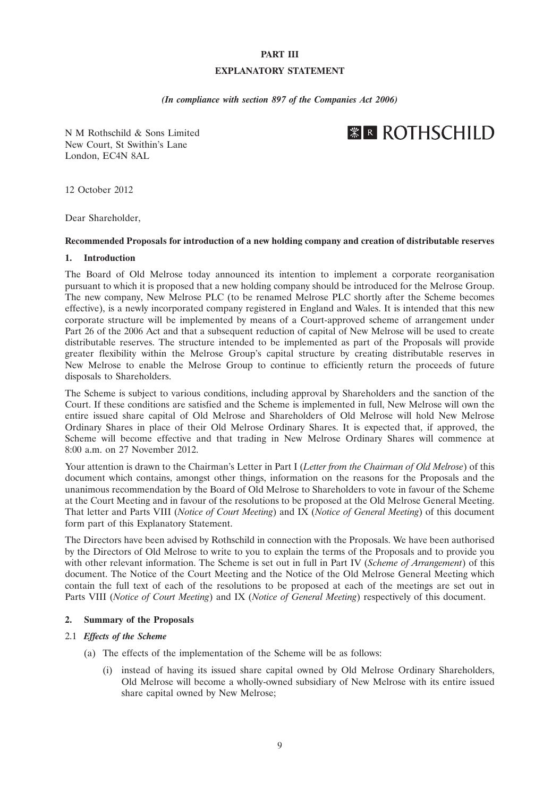#### **PART III**

#### **EXPLANATORY STATEMENT**

*(In compliance with section 897 of the Companies Act 2006)*

N M Rothschild & Sons Limited New Court, St Swithin's Lane London, EC4N 8AL

# *\** ROTHSCHILD

12 October 2012

Dear Shareholder,

#### **Recommended Proposals for introduction of a new holding company and creation of distributable reserves**

#### **1. Introduction**

The Board of Old Melrose today announced its intention to implement a corporate reorganisation pursuant to which it is proposed that a new holding company should be introduced for the Melrose Group. The new company, New Melrose PLC (to be renamed Melrose PLC shortly after the Scheme becomes effective), is a newly incorporated company registered in England and Wales. It is intended that this new corporate structure will be implemented by means of a Court-approved scheme of arrangement under Part 26 of the 2006 Act and that a subsequent reduction of capital of New Melrose will be used to create distributable reserves. The structure intended to be implemented as part of the Proposals will provide greater flexibility within the Melrose Group's capital structure by creating distributable reserves in New Melrose to enable the Melrose Group to continue to efficiently return the proceeds of future disposals to Shareholders.

The Scheme is subject to various conditions, including approval by Shareholders and the sanction of the Court. If these conditions are satisfied and the Scheme is implemented in full, New Melrose will own the entire issued share capital of Old Melrose and Shareholders of Old Melrose will hold New Melrose Ordinary Shares in place of their Old Melrose Ordinary Shares. It is expected that, if approved, the Scheme will become effective and that trading in New Melrose Ordinary Shares will commence at 8:00 a.m. on 27 November 2012.

Your attention is drawn to the Chairman's Letter in Part I (*Letter from the Chairman of Old Melrose*) of this document which contains, amongst other things, information on the reasons for the Proposals and the unanimous recommendation by the Board of Old Melrose to Shareholders to vote in favour of the Scheme at the Court Meeting and in favour of the resolutions to be proposed at the Old Melrose General Meeting. That letter and Parts VIII (*Notice of Court Meeting*) and IX (*Notice of General Meeting*) of this document form part of this Explanatory Statement.

The Directors have been advised by Rothschild in connection with the Proposals. We have been authorised by the Directors of Old Melrose to write to you to explain the terms of the Proposals and to provide you with other relevant information. The Scheme is set out in full in Part IV (*Scheme of Arrangement*) of this document. The Notice of the Court Meeting and the Notice of the Old Melrose General Meeting which contain the full text of each of the resolutions to be proposed at each of the meetings are set out in Parts VIII (*Notice of Court Meeting*) and IX (*Notice of General Meeting*) respectively of this document.

#### **2. Summary of the Proposals**

#### 2.1 *Effects of the Scheme*

- (a) The effects of the implementation of the Scheme will be as follows:
	- (i) instead of having its issued share capital owned by Old Melrose Ordinary Shareholders, Old Melrose will become a wholly-owned subsidiary of New Melrose with its entire issued share capital owned by New Melrose;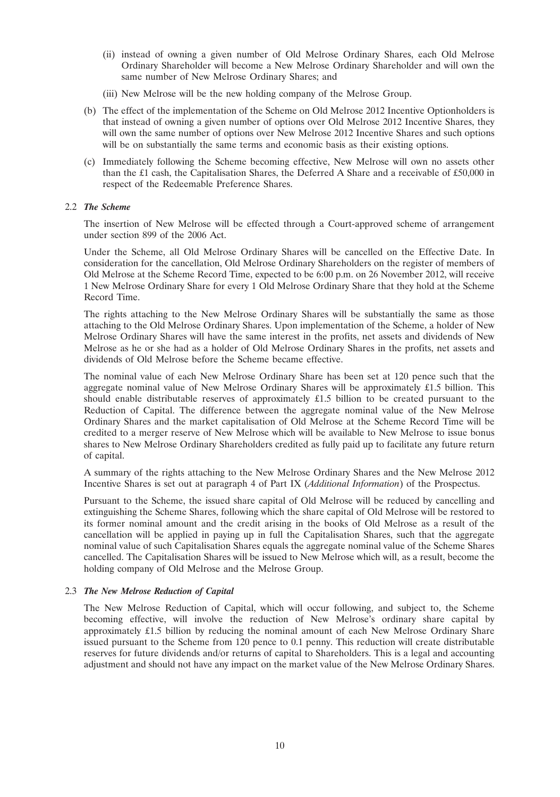- (ii) instead of owning a given number of Old Melrose Ordinary Shares, each Old Melrose Ordinary Shareholder will become a New Melrose Ordinary Shareholder and will own the same number of New Melrose Ordinary Shares; and
- (iii) New Melrose will be the new holding company of the Melrose Group.
- (b) The effect of the implementation of the Scheme on Old Melrose 2012 Incentive Optionholders is that instead of owning a given number of options over Old Melrose 2012 Incentive Shares, they will own the same number of options over New Melrose 2012 Incentive Shares and such options will be on substantially the same terms and economic basis as their existing options.
- (c) Immediately following the Scheme becoming effective, New Melrose will own no assets other than the £1 cash, the Capitalisation Shares, the Deferred A Share and a receivable of £50,000 in respect of the Redeemable Preference Shares.

#### 2.2 *The Scheme*

The insertion of New Melrose will be effected through a Court-approved scheme of arrangement under section 899 of the 2006 Act.

Under the Scheme, all Old Melrose Ordinary Shares will be cancelled on the Effective Date. In consideration for the cancellation, Old Melrose Ordinary Shareholders on the register of members of Old Melrose at the Scheme Record Time, expected to be 6:00 p.m. on 26 November 2012, will receive 1 New Melrose Ordinary Share for every 1 Old Melrose Ordinary Share that they hold at the Scheme Record Time.

The rights attaching to the New Melrose Ordinary Shares will be substantially the same as those attaching to the Old Melrose Ordinary Shares. Upon implementation of the Scheme, a holder of New Melrose Ordinary Shares will have the same interest in the profits, net assets and dividends of New Melrose as he or she had as a holder of Old Melrose Ordinary Shares in the profits, net assets and dividends of Old Melrose before the Scheme became effective.

The nominal value of each New Melrose Ordinary Share has been set at 120 pence such that the aggregate nominal value of New Melrose Ordinary Shares will be approximately £1.5 billion. This should enable distributable reserves of approximately  $£1.5$  billion to be created pursuant to the Reduction of Capital. The difference between the aggregate nominal value of the New Melrose Ordinary Shares and the market capitalisation of Old Melrose at the Scheme Record Time will be credited to a merger reserve of New Melrose which will be available to New Melrose to issue bonus shares to New Melrose Ordinary Shareholders credited as fully paid up to facilitate any future return of capital.

A summary of the rights attaching to the New Melrose Ordinary Shares and the New Melrose 2012 Incentive Shares is set out at paragraph 4 of Part IX (*Additional Information*) of the Prospectus.

Pursuant to the Scheme, the issued share capital of Old Melrose will be reduced by cancelling and extinguishing the Scheme Shares, following which the share capital of Old Melrose will be restored to its former nominal amount and the credit arising in the books of Old Melrose as a result of the cancellation will be applied in paying up in full the Capitalisation Shares, such that the aggregate nominal value of such Capitalisation Shares equals the aggregate nominal value of the Scheme Shares cancelled. The Capitalisation Shares will be issued to New Melrose which will, as a result, become the holding company of Old Melrose and the Melrose Group.

#### 2.3 *The New Melrose Reduction of Capital*

The New Melrose Reduction of Capital, which will occur following, and subject to, the Scheme becoming effective, will involve the reduction of New Melrose's ordinary share capital by approximately £1.5 billion by reducing the nominal amount of each New Melrose Ordinary Share issued pursuant to the Scheme from 120 pence to 0.1 penny. This reduction will create distributable reserves for future dividends and/or returns of capital to Shareholders. This is a legal and accounting adjustment and should not have any impact on the market value of the New Melrose Ordinary Shares.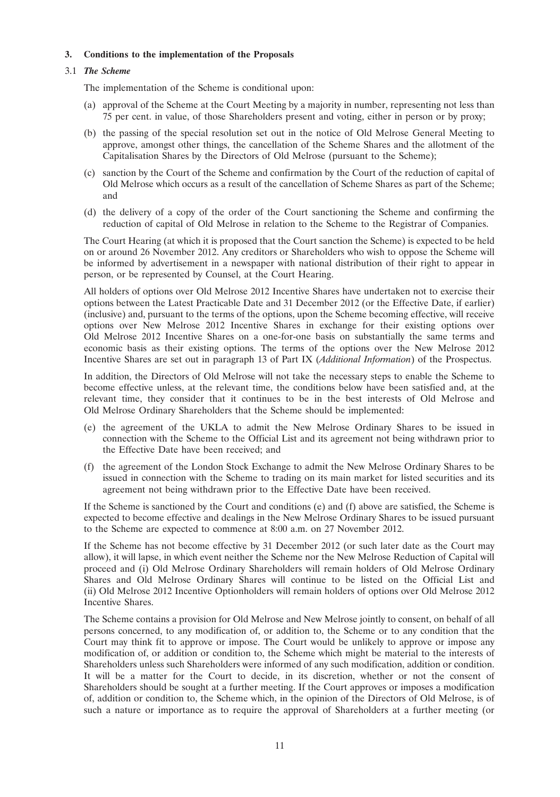#### **3. Conditions to the implementation of the Proposals**

#### 3.1 *The Scheme*

The implementation of the Scheme is conditional upon:

- (a) approval of the Scheme at the Court Meeting by a majority in number, representing not less than 75 per cent. in value, of those Shareholders present and voting, either in person or by proxy;
- (b) the passing of the special resolution set out in the notice of Old Melrose General Meeting to approve, amongst other things, the cancellation of the Scheme Shares and the allotment of the Capitalisation Shares by the Directors of Old Melrose (pursuant to the Scheme);
- (c) sanction by the Court of the Scheme and confirmation by the Court of the reduction of capital of Old Melrose which occurs as a result of the cancellation of Scheme Shares as part of the Scheme; and
- (d) the delivery of a copy of the order of the Court sanctioning the Scheme and confirming the reduction of capital of Old Melrose in relation to the Scheme to the Registrar of Companies.

The Court Hearing (at which it is proposed that the Court sanction the Scheme) is expected to be held on or around 26 November 2012. Any creditors or Shareholders who wish to oppose the Scheme will be informed by advertisement in a newspaper with national distribution of their right to appear in person, or be represented by Counsel, at the Court Hearing.

All holders of options over Old Melrose 2012 Incentive Shares have undertaken not to exercise their options between the Latest Practicable Date and 31 December 2012 (or the Effective Date, if earlier) (inclusive) and, pursuant to the terms of the options, upon the Scheme becoming effective, will receive options over New Melrose 2012 Incentive Shares in exchange for their existing options over Old Melrose 2012 Incentive Shares on a one-for-one basis on substantially the same terms and economic basis as their existing options. The terms of the options over the New Melrose 2012 Incentive Shares are set out in paragraph 13 of Part IX (*Additional Information*) of the Prospectus.

In addition, the Directors of Old Melrose will not take the necessary steps to enable the Scheme to become effective unless, at the relevant time, the conditions below have been satisfied and, at the relevant time, they consider that it continues to be in the best interests of Old Melrose and Old Melrose Ordinary Shareholders that the Scheme should be implemented:

- (e) the agreement of the UKLA to admit the New Melrose Ordinary Shares to be issued in connection with the Scheme to the Official List and its agreement not being withdrawn prior to the Effective Date have been received; and
- (f) the agreement of the London Stock Exchange to admit the New Melrose Ordinary Shares to be issued in connection with the Scheme to trading on its main market for listed securities and its agreement not being withdrawn prior to the Effective Date have been received.

If the Scheme is sanctioned by the Court and conditions (e) and (f) above are satisfied, the Scheme is expected to become effective and dealings in the New Melrose Ordinary Shares to be issued pursuant to the Scheme are expected to commence at 8:00 a.m. on 27 November 2012.

If the Scheme has not become effective by 31 December 2012 (or such later date as the Court may allow), it will lapse, in which event neither the Scheme nor the New Melrose Reduction of Capital will proceed and (i) Old Melrose Ordinary Shareholders will remain holders of Old Melrose Ordinary Shares and Old Melrose Ordinary Shares will continue to be listed on the Official List and (ii) Old Melrose 2012 Incentive Optionholders will remain holders of options over Old Melrose 2012 Incentive Shares.

The Scheme contains a provision for Old Melrose and New Melrose jointly to consent, on behalf of all persons concerned, to any modification of, or addition to, the Scheme or to any condition that the Court may think fit to approve or impose. The Court would be unlikely to approve or impose any modification of, or addition or condition to, the Scheme which might be material to the interests of Shareholders unless such Shareholders were informed of any such modification, addition or condition. It will be a matter for the Court to decide, in its discretion, whether or not the consent of Shareholders should be sought at a further meeting. If the Court approves or imposes a modification of, addition or condition to, the Scheme which, in the opinion of the Directors of Old Melrose, is of such a nature or importance as to require the approval of Shareholders at a further meeting (or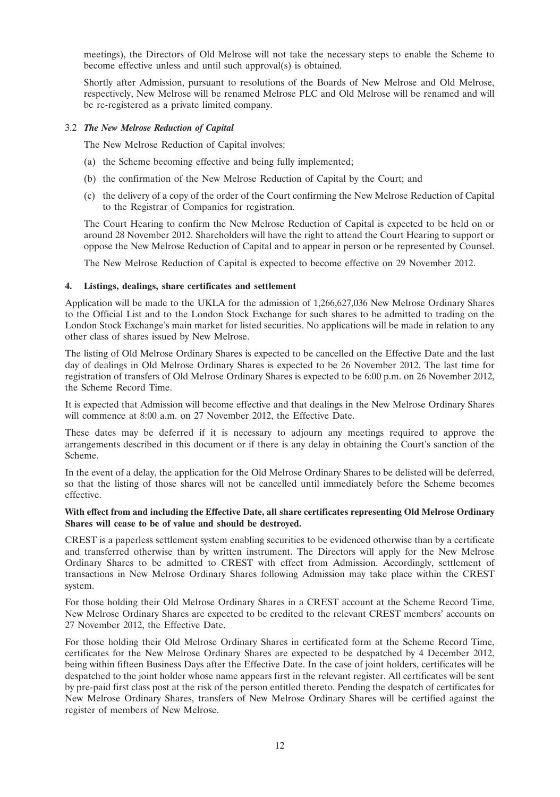meetings), the Directors of Old Melrose will not take the necessary steps to enable the Scheme to become effective unless and until such approval(s) is obtained.

Shortly after Admission, pursuant to resolutions of the Boards of New Melrose and Old Melrose, respectively, New Melrose will be renamed Melrose PLC and Old Melrose will be renamed and will be re-registered as a private limited company.

#### 3.2 *The New Melrose Reduction of Capital*

The New Melrose Reduction of Capital involves:

- (a) the Scheme becoming effective and being fully implemented;
- (b) the confirmation of the New Melrose Reduction of Capital by the Court; and
- (c) the delivery of a copy of the order of the Court confirming the New Melrose Reduction of Capital to the Registrar of Companies for registration.

The Court Hearing to confirm the New Melrose Reduction of Capital is expected to be held on or around 28 November 2012. Shareholders will have the right to attend the Court Hearing to support or oppose the New Melrose Reduction of Capital and to appear in person or be represented by Counsel.

The New Melrose Reduction of Capital is expected to become effective on 29 November 2012.

#### **4. Listings, dealings, share certificates and settlement**

Application will be made to the UKLA for the admission of 1,266,627,036 New Melrose Ordinary Shares to the Official List and to the London Stock Exchange for such shares to be admitted to trading on the London Stock Exchange's main market for listed securities. No applications will be made in relation to any other class of shares issued by New Melrose.

The listing of Old Melrose Ordinary Shares is expected to be cancelled on the Effective Date and the last day of dealings in Old Melrose Ordinary Shares is expected to be 26 November 2012. The last time for registration of transfers of Old Melrose Ordinary Shares is expected to be 6:00 p.m. on 26 November 2012, the Scheme Record Time.

It is expected that Admission will become effective and that dealings in the New Melrose Ordinary Shares will commence at 8:00 a.m. on 27 November 2012, the Effective Date.

These dates may be deferred if it is necessary to adjourn any meetings required to approve the arrangements described in this document or if there is any delay in obtaining the Court's sanction of the Scheme.

In the event of a delay, the application for the Old Melrose Ordinary Shares to be delisted will be deferred, so that the listing of those shares will not be cancelled until immediately before the Scheme becomes effective.

#### **With effect from and including the Effective Date, all share certificates representing Old Melrose Ordinary Shares will cease to be of value and should be destroyed.**

CREST is a paperless settlement system enabling securities to be evidenced otherwise than by a certificate and transferred otherwise than by written instrument. The Directors will apply for the New Melrose Ordinary Shares to be admitted to CREST with effect from Admission. Accordingly, settlement of transactions in New Melrose Ordinary Shares following Admission may take place within the CREST system.

For those holding their Old Melrose Ordinary Shares in a CREST account at the Scheme Record Time, New Melrose Ordinary Shares are expected to be credited to the relevant CREST members' accounts on 27 November 2012, the Effective Date.

For those holding their Old Melrose Ordinary Shares in certificated form at the Scheme Record Time, certificates for the New Melrose Ordinary Shares are expected to be despatched by 4 December 2012, being within fifteen Business Days after the Effective Date. In the case of joint holders, certificates will be despatched to the joint holder whose name appears first in the relevant register. All certificates will be sent by pre-paid first class post at the risk of the person entitled thereto. Pending the despatch of certificates for New Melrose Ordinary Shares, transfers of New Melrose Ordinary Shares will be certified against the register of members of New Melrose.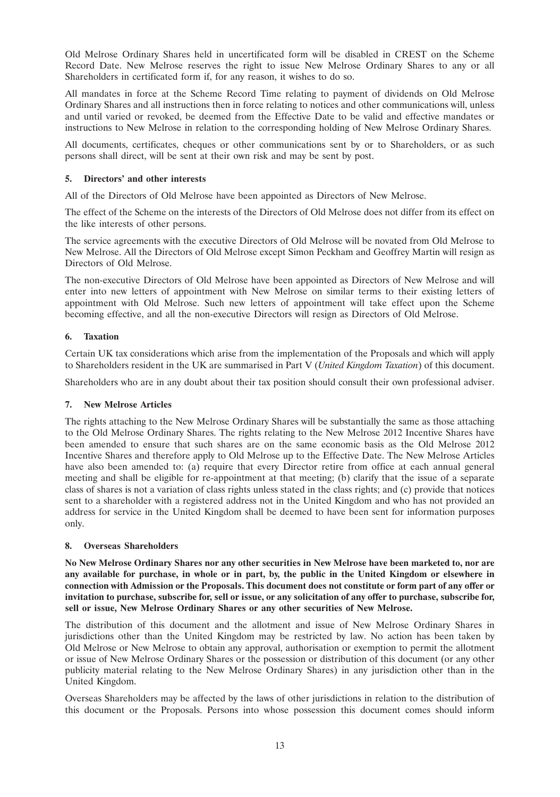Old Melrose Ordinary Shares held in uncertificated form will be disabled in CREST on the Scheme Record Date. New Melrose reserves the right to issue New Melrose Ordinary Shares to any or all Shareholders in certificated form if, for any reason, it wishes to do so.

All mandates in force at the Scheme Record Time relating to payment of dividends on Old Melrose Ordinary Shares and all instructions then in force relating to notices and other communications will, unless and until varied or revoked, be deemed from the Effective Date to be valid and effective mandates or instructions to New Melrose in relation to the corresponding holding of New Melrose Ordinary Shares.

All documents, certificates, cheques or other communications sent by or to Shareholders, or as such persons shall direct, will be sent at their own risk and may be sent by post.

#### **5. Directors' and other interests**

All of the Directors of Old Melrose have been appointed as Directors of New Melrose.

The effect of the Scheme on the interests of the Directors of Old Melrose does not differ from its effect on the like interests of other persons.

The service agreements with the executive Directors of Old Melrose will be novated from Old Melrose to New Melrose. All the Directors of Old Melrose except Simon Peckham and Geoffrey Martin will resign as Directors of Old Melrose.

The non-executive Directors of Old Melrose have been appointed as Directors of New Melrose and will enter into new letters of appointment with New Melrose on similar terms to their existing letters of appointment with Old Melrose. Such new letters of appointment will take effect upon the Scheme becoming effective, and all the non-executive Directors will resign as Directors of Old Melrose.

# **6. Taxation**

Certain UK tax considerations which arise from the implementation of the Proposals and which will apply to Shareholders resident in the UK are summarised in Part V (*United Kingdom Taxation*) of this document.

Shareholders who are in any doubt about their tax position should consult their own professional adviser.

#### **7. New Melrose Articles**

The rights attaching to the New Melrose Ordinary Shares will be substantially the same as those attaching to the Old Melrose Ordinary Shares. The rights relating to the New Melrose 2012 Incentive Shares have been amended to ensure that such shares are on the same economic basis as the Old Melrose 2012 Incentive Shares and therefore apply to Old Melrose up to the Effective Date. The New Melrose Articles have also been amended to: (a) require that every Director retire from office at each annual general meeting and shall be eligible for re-appointment at that meeting; (b) clarify that the issue of a separate class of shares is not a variation of class rights unless stated in the class rights; and (c) provide that notices sent to a shareholder with a registered address not in the United Kingdom and who has not provided an address for service in the United Kingdom shall be deemed to have been sent for information purposes only.

#### **8. Overseas Shareholders**

**No New Melrose Ordinary Shares nor any other securities in New Melrose have been marketed to, nor are any available for purchase, in whole or in part, by, the public in the United Kingdom or elsewhere in connection with Admission or the Proposals. This document does not constitute or form part of any offer or invitation to purchase, subscribe for, sell or issue, or any solicitation of any offer to purchase, subscribe for, sell or issue, New Melrose Ordinary Shares or any other securities of New Melrose.**

The distribution of this document and the allotment and issue of New Melrose Ordinary Shares in jurisdictions other than the United Kingdom may be restricted by law. No action has been taken by Old Melrose or New Melrose to obtain any approval, authorisation or exemption to permit the allotment or issue of New Melrose Ordinary Shares or the possession or distribution of this document (or any other publicity material relating to the New Melrose Ordinary Shares) in any jurisdiction other than in the United Kingdom.

Overseas Shareholders may be affected by the laws of other jurisdictions in relation to the distribution of this document or the Proposals. Persons into whose possession this document comes should inform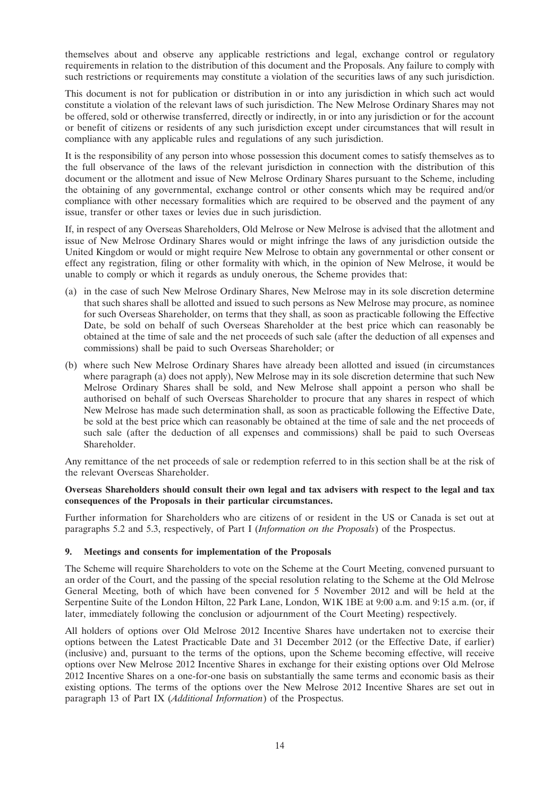themselves about and observe any applicable restrictions and legal, exchange control or regulatory requirements in relation to the distribution of this document and the Proposals. Any failure to comply with such restrictions or requirements may constitute a violation of the securities laws of any such jurisdiction.

This document is not for publication or distribution in or into any jurisdiction in which such act would constitute a violation of the relevant laws of such jurisdiction. The New Melrose Ordinary Shares may not be offered, sold or otherwise transferred, directly or indirectly, in or into any jurisdiction or for the account or benefit of citizens or residents of any such jurisdiction except under circumstances that will result in compliance with any applicable rules and regulations of any such jurisdiction.

It is the responsibility of any person into whose possession this document comes to satisfy themselves as to the full observance of the laws of the relevant jurisdiction in connection with the distribution of this document or the allotment and issue of New Melrose Ordinary Shares pursuant to the Scheme, including the obtaining of any governmental, exchange control or other consents which may be required and/or compliance with other necessary formalities which are required to be observed and the payment of any issue, transfer or other taxes or levies due in such jurisdiction.

If, in respect of any Overseas Shareholders, Old Melrose or New Melrose is advised that the allotment and issue of New Melrose Ordinary Shares would or might infringe the laws of any jurisdiction outside the United Kingdom or would or might require New Melrose to obtain any governmental or other consent or effect any registration, filing or other formality with which, in the opinion of New Melrose, it would be unable to comply or which it regards as unduly onerous, the Scheme provides that:

- (a) in the case of such New Melrose Ordinary Shares, New Melrose may in its sole discretion determine that such shares shall be allotted and issued to such persons as New Melrose may procure, as nominee for such Overseas Shareholder, on terms that they shall, as soon as practicable following the Effective Date, be sold on behalf of such Overseas Shareholder at the best price which can reasonably be obtained at the time of sale and the net proceeds of such sale (after the deduction of all expenses and commissions) shall be paid to such Overseas Shareholder; or
- (b) where such New Melrose Ordinary Shares have already been allotted and issued (in circumstances where paragraph (a) does not apply), New Melrose may in its sole discretion determine that such New Melrose Ordinary Shares shall be sold, and New Melrose shall appoint a person who shall be authorised on behalf of such Overseas Shareholder to procure that any shares in respect of which New Melrose has made such determination shall, as soon as practicable following the Effective Date, be sold at the best price which can reasonably be obtained at the time of sale and the net proceeds of such sale (after the deduction of all expenses and commissions) shall be paid to such Overseas Shareholder.

Any remittance of the net proceeds of sale or redemption referred to in this section shall be at the risk of the relevant Overseas Shareholder.

#### **Overseas Shareholders should consult their own legal and tax advisers with respect to the legal and tax consequences of the Proposals in their particular circumstances.**

Further information for Shareholders who are citizens of or resident in the US or Canada is set out at paragraphs 5.2 and 5.3, respectively, of Part I (*Information on the Proposals*) of the Prospectus.

#### **9. Meetings and consents for implementation of the Proposals**

The Scheme will require Shareholders to vote on the Scheme at the Court Meeting, convened pursuant to an order of the Court, and the passing of the special resolution relating to the Scheme at the Old Melrose General Meeting, both of which have been convened for 5 November 2012 and will be held at the Serpentine Suite of the London Hilton, 22 Park Lane, London, W1K 1BE at 9:00 a.m. and 9:15 a.m. (or, if later, immediately following the conclusion or adjournment of the Court Meeting) respectively.

All holders of options over Old Melrose 2012 Incentive Shares have undertaken not to exercise their options between the Latest Practicable Date and 31 December 2012 (or the Effective Date, if earlier) (inclusive) and, pursuant to the terms of the options, upon the Scheme becoming effective, will receive options over New Melrose 2012 Incentive Shares in exchange for their existing options over Old Melrose 2012 Incentive Shares on a one-for-one basis on substantially the same terms and economic basis as their existing options. The terms of the options over the New Melrose 2012 Incentive Shares are set out in paragraph 13 of Part IX (*Additional Information*) of the Prospectus.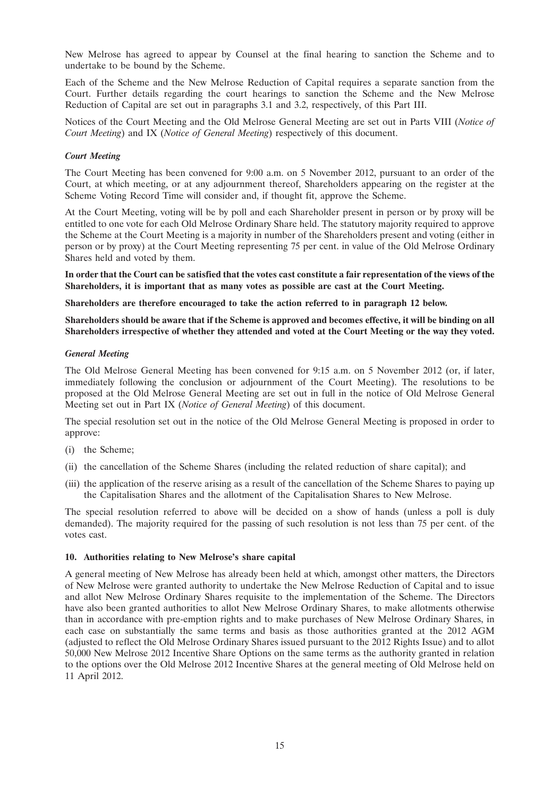New Melrose has agreed to appear by Counsel at the final hearing to sanction the Scheme and to undertake to be bound by the Scheme.

Each of the Scheme and the New Melrose Reduction of Capital requires a separate sanction from the Court. Further details regarding the court hearings to sanction the Scheme and the New Melrose Reduction of Capital are set out in paragraphs 3.1 and 3.2, respectively, of this Part III.

Notices of the Court Meeting and the Old Melrose General Meeting are set out in Parts VIII (*Notice of Court Meeting*) and IX (*Notice of General Meeting*) respectively of this document.

#### *Court Meeting*

The Court Meeting has been convened for 9:00 a.m. on 5 November 2012, pursuant to an order of the Court, at which meeting, or at any adjournment thereof, Shareholders appearing on the register at the Scheme Voting Record Time will consider and, if thought fit, approve the Scheme.

At the Court Meeting, voting will be by poll and each Shareholder present in person or by proxy will be entitled to one vote for each Old Melrose Ordinary Share held. The statutory majority required to approve the Scheme at the Court Meeting is a majority in number of the Shareholders present and voting (either in person or by proxy) at the Court Meeting representing 75 per cent. in value of the Old Melrose Ordinary Shares held and voted by them.

**In order that the Court can be satisfied that the votes cast constitute a fair representation of the views of the Shareholders, it is important that as many votes as possible are cast at the Court Meeting.**

**Shareholders are therefore encouraged to take the action referred to in paragraph 12 below.**

**Shareholders should be aware that if the Scheme is approved and becomes effective, it will be binding on all Shareholders irrespective of whether they attended and voted at the Court Meeting or the way they voted.**

#### *General Meeting*

The Old Melrose General Meeting has been convened for 9:15 a.m. on 5 November 2012 (or, if later, immediately following the conclusion or adjournment of the Court Meeting). The resolutions to be proposed at the Old Melrose General Meeting are set out in full in the notice of Old Melrose General Meeting set out in Part IX (*Notice of General Meeting*) of this document.

The special resolution set out in the notice of the Old Melrose General Meeting is proposed in order to approve:

- (i) the Scheme;
- (ii) the cancellation of the Scheme Shares (including the related reduction of share capital); and
- (iii) the application of the reserve arising as a result of the cancellation of the Scheme Shares to paying up the Capitalisation Shares and the allotment of the Capitalisation Shares to New Melrose.

The special resolution referred to above will be decided on a show of hands (unless a poll is duly demanded). The majority required for the passing of such resolution is not less than 75 per cent. of the votes cast.

#### **10. Authorities relating to New Melrose's share capital**

A general meeting of New Melrose has already been held at which, amongst other matters, the Directors of New Melrose were granted authority to undertake the New Melrose Reduction of Capital and to issue and allot New Melrose Ordinary Shares requisite to the implementation of the Scheme. The Directors have also been granted authorities to allot New Melrose Ordinary Shares, to make allotments otherwise than in accordance with pre-emption rights and to make purchases of New Melrose Ordinary Shares, in each case on substantially the same terms and basis as those authorities granted at the 2012 AGM (adjusted to reflect the Old Melrose Ordinary Shares issued pursuant to the 2012 Rights Issue) and to allot 50,000 New Melrose 2012 Incentive Share Options on the same terms as the authority granted in relation to the options over the Old Melrose 2012 Incentive Shares at the general meeting of Old Melrose held on 11 April 2012.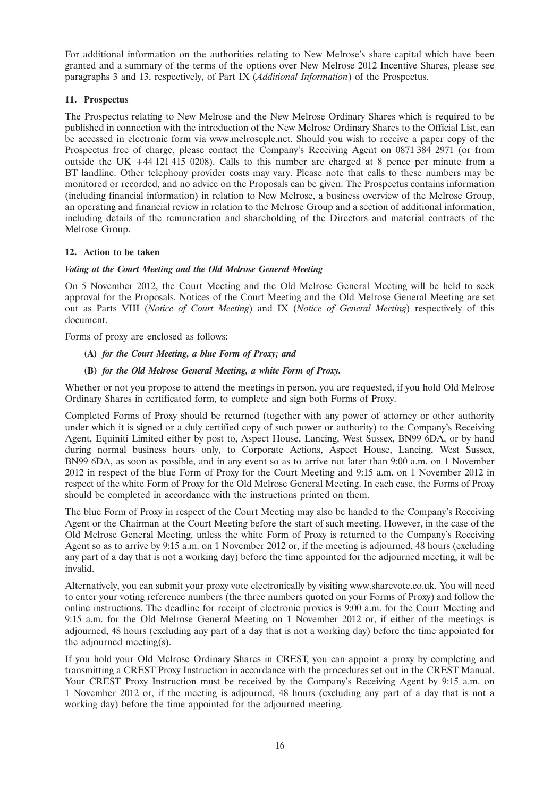For additional information on the authorities relating to New Melrose's share capital which have been granted and a summary of the terms of the options over New Melrose 2012 Incentive Shares, please see paragraphs 3 and 13, respectively, of Part IX (*Additional Information*) of the Prospectus.

# **11. Prospectus**

The Prospectus relating to New Melrose and the New Melrose Ordinary Shares which is required to be published in connection with the introduction of the New Melrose Ordinary Shares to the Official List, can be accessed in electronic form via www.melroseplc.net. Should you wish to receive a paper copy of the Prospectus free of charge, please contact the Company's Receiving Agent on 0871 384 2971 (or from outside the UK +44 121 415 0208). Calls to this number are charged at 8 pence per minute from a BT landline. Other telephony provider costs may vary. Please note that calls to these numbers may be monitored or recorded, and no advice on the Proposals can be given. The Prospectus contains information (including financial information) in relation to New Melrose, a business overview of the Melrose Group, an operating and financial review in relation to the Melrose Group and a section of additional information, including details of the remuneration and shareholding of the Directors and material contracts of the Melrose Group.

# **12. Action to be taken**

# *Voting at the Court Meeting and the Old Melrose General Meeting*

On 5 November 2012, the Court Meeting and the Old Melrose General Meeting will be held to seek approval for the Proposals. Notices of the Court Meeting and the Old Melrose General Meeting are set out as Parts VIII (*Notice of Court Meeting*) and IX (*Notice of General Meeting*) respectively of this document.

Forms of proxy are enclosed as follows:

# **(A)** *for the Court Meeting, a blue Form of Proxy; and*

# **(B)** *for the Old Melrose General Meeting, a white Form of Proxy.*

Whether or not you propose to attend the meetings in person, you are requested, if you hold Old Melrose Ordinary Shares in certificated form, to complete and sign both Forms of Proxy.

Completed Forms of Proxy should be returned (together with any power of attorney or other authority under which it is signed or a duly certified copy of such power or authority) to the Company's Receiving Agent, Equiniti Limited either by post to, Aspect House, Lancing, West Sussex, BN99 6DA, or by hand during normal business hours only, to Corporate Actions, Aspect House, Lancing, West Sussex, BN99 6DA, as soon as possible, and in any event so as to arrive not later than 9:00 a.m. on 1 November 2012 in respect of the blue Form of Proxy for the Court Meeting and 9:15 a.m. on 1 November 2012 in respect of the white Form of Proxy for the Old Melrose General Meeting. In each case, the Forms of Proxy should be completed in accordance with the instructions printed on them.

The blue Form of Proxy in respect of the Court Meeting may also be handed to the Company's Receiving Agent or the Chairman at the Court Meeting before the start of such meeting. However, in the case of the Old Melrose General Meeting, unless the white Form of Proxy is returned to the Company's Receiving Agent so as to arrive by 9:15 a.m. on 1 November 2012 or, if the meeting is adjourned, 48 hours (excluding any part of a day that is not a working day) before the time appointed for the adjourned meeting, it will be invalid.

Alternatively, you can submit your proxy vote electronically by visiting www.sharevote.co.uk. You will need to enter your voting reference numbers (the three numbers quoted on your Forms of Proxy) and follow the online instructions. The deadline for receipt of electronic proxies is 9:00 a.m. for the Court Meeting and 9:15 a.m. for the Old Melrose General Meeting on 1 November 2012 or, if either of the meetings is adjourned, 48 hours (excluding any part of a day that is not a working day) before the time appointed for the adjourned meeting(s).

If you hold your Old Melrose Ordinary Shares in CREST, you can appoint a proxy by completing and transmitting a CREST Proxy Instruction in accordance with the procedures set out in the CREST Manual. Your CREST Proxy Instruction must be received by the Company's Receiving Agent by 9:15 a.m. on 1 November 2012 or, if the meeting is adjourned, 48 hours (excluding any part of a day that is not a working day) before the time appointed for the adjourned meeting.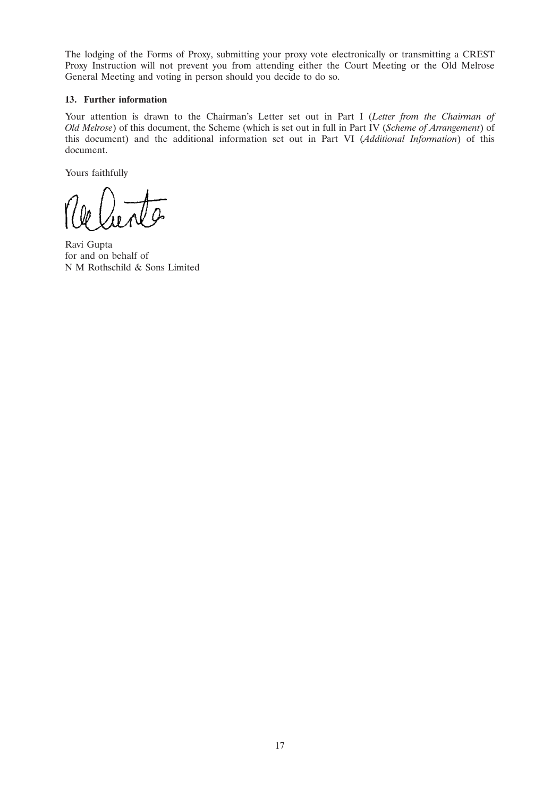The lodging of the Forms of Proxy, submitting your proxy vote electronically or transmitting a CREST Proxy Instruction will not prevent you from attending either the Court Meeting or the Old Melrose General Meeting and voting in person should you decide to do so.

### **13. Further information**

Your attention is drawn to the Chairman's Letter set out in Part I (*Letter from the Chairman of Old Melrose*) of this document, the Scheme (which is set out in full in Part IV (*Scheme of Arrangement*) of this document) and the additional information set out in Part VI (*Additional Information*) of this document.

Yours faithfully

7OCT201217315571

Ravi Gupta for and on behalf of N M Rothschild & Sons Limited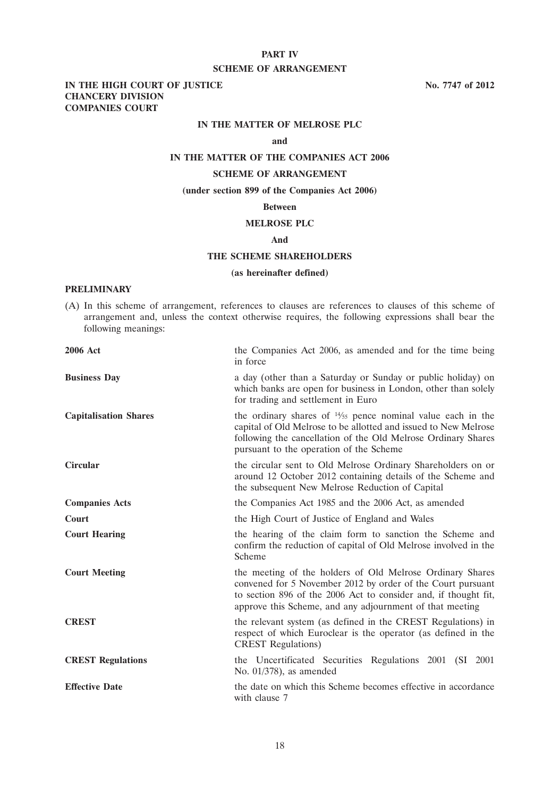# **PART IV**

#### **SCHEME OF ARRANGEMENT**

#### **IN THE HIGH COURT OF JUSTICE No. 7747 of 2012 CHANCERY DIVISION COMPANIES COURT**

#### **IN THE MATTER OF MELROSE PLC**

#### **and**

#### **IN THE MATTER OF THE COMPANIES ACT 2006**

# **SCHEME OF ARRANGEMENT**

#### **(under section 899 of the Companies Act 2006)**

# **Between**

#### **MELROSE PLC**

# **And**

#### **THE SCHEME SHAREHOLDERS**

#### **(as hereinafter defined)**

#### **PRELIMINARY**

(A) In this scheme of arrangement, references to clauses are references to clauses of this scheme of arrangement and, unless the context otherwise requires, the following expressions shall bear the following meanings:

| 2006 Act                     | the Companies Act 2006, as amended and for the time being<br>in force                                                                                                                                                                                   |
|------------------------------|---------------------------------------------------------------------------------------------------------------------------------------------------------------------------------------------------------------------------------------------------------|
| <b>Business Day</b>          | a day (other than a Saturday or Sunday or public holiday) on<br>which banks are open for business in London, other than solely<br>for trading and settlement in Euro                                                                                    |
| <b>Capitalisation Shares</b> | the ordinary shares of $\frac{14}{55}$ pence nominal value each in the<br>capital of Old Melrose to be allotted and issued to New Melrose<br>following the cancellation of the Old Melrose Ordinary Shares<br>pursuant to the operation of the Scheme   |
| <b>Circular</b>              | the circular sent to Old Melrose Ordinary Shareholders on or<br>around 12 October 2012 containing details of the Scheme and<br>the subsequent New Melrose Reduction of Capital                                                                          |
| <b>Companies Acts</b>        | the Companies Act 1985 and the 2006 Act, as amended                                                                                                                                                                                                     |
| Court                        | the High Court of Justice of England and Wales                                                                                                                                                                                                          |
| <b>Court Hearing</b>         | the hearing of the claim form to sanction the Scheme and<br>confirm the reduction of capital of Old Melrose involved in the<br>Scheme                                                                                                                   |
| <b>Court Meeting</b>         | the meeting of the holders of Old Melrose Ordinary Shares<br>convened for 5 November 2012 by order of the Court pursuant<br>to section 896 of the 2006 Act to consider and, if thought fit,<br>approve this Scheme, and any adjournment of that meeting |
| <b>CREST</b>                 | the relevant system (as defined in the CREST Regulations) in<br>respect of which Euroclear is the operator (as defined in the<br><b>CREST</b> Regulations)                                                                                              |
| <b>CREST Regulations</b>     | the Uncertificated Securities Regulations 2001 (SI 2001)<br>No. $01/378$ , as amended                                                                                                                                                                   |
| <b>Effective Date</b>        | the date on which this Scheme becomes effective in accordance<br>with clause 7                                                                                                                                                                          |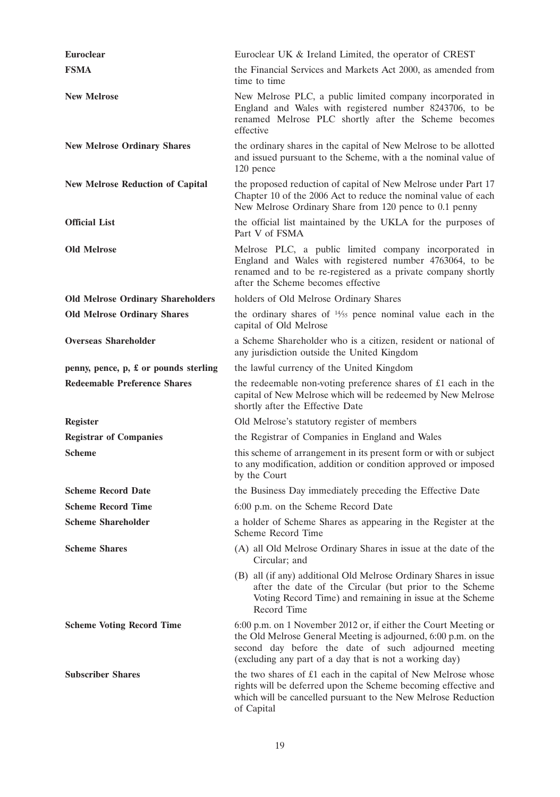| <b>Euroclear</b>                           | Euroclear UK & Ireland Limited, the operator of CREST                                                                                                                                                                                                |
|--------------------------------------------|------------------------------------------------------------------------------------------------------------------------------------------------------------------------------------------------------------------------------------------------------|
| <b>FSMA</b>                                | the Financial Services and Markets Act 2000, as amended from<br>time to time                                                                                                                                                                         |
| <b>New Melrose</b>                         | New Melrose PLC, a public limited company incorporated in<br>England and Wales with registered number 8243706, to be<br>renamed Melrose PLC shortly after the Scheme becomes<br>effective                                                            |
| <b>New Melrose Ordinary Shares</b>         | the ordinary shares in the capital of New Melrose to be allotted<br>and issued pursuant to the Scheme, with a the nominal value of<br>120 pence                                                                                                      |
| <b>New Melrose Reduction of Capital</b>    | the proposed reduction of capital of New Melrose under Part 17<br>Chapter 10 of the 2006 Act to reduce the nominal value of each<br>New Melrose Ordinary Share from 120 pence to 0.1 penny                                                           |
| <b>Official List</b>                       | the official list maintained by the UKLA for the purposes of<br>Part V of FSMA                                                                                                                                                                       |
| <b>Old Melrose</b>                         | Melrose PLC, a public limited company incorporated in<br>England and Wales with registered number 4763064, to be<br>renamed and to be re-registered as a private company shortly<br>after the Scheme becomes effective                               |
| <b>Old Melrose Ordinary Shareholders</b>   | holders of Old Melrose Ordinary Shares                                                                                                                                                                                                               |
| <b>Old Melrose Ordinary Shares</b>         | the ordinary shares of $\frac{14}{55}$ pence nominal value each in the<br>capital of Old Melrose                                                                                                                                                     |
| <b>Overseas Shareholder</b>                | a Scheme Shareholder who is a citizen, resident or national of<br>any jurisdiction outside the United Kingdom                                                                                                                                        |
| penny, pence, $p$ , $f$ or pounds sterling | the lawful currency of the United Kingdom                                                                                                                                                                                                            |
| <b>Redeemable Preference Shares</b>        | the redeemable non-voting preference shares of £1 each in the<br>capital of New Melrose which will be redeemed by New Melrose<br>shortly after the Effective Date                                                                                    |
| <b>Register</b>                            | Old Melrose's statutory register of members                                                                                                                                                                                                          |
| <b>Registrar of Companies</b>              | the Registrar of Companies in England and Wales                                                                                                                                                                                                      |
| <b>Scheme</b>                              | this scheme of arrangement in its present form or with or subject<br>to any modification, addition or condition approved or imposed<br>by the Court                                                                                                  |
| <b>Scheme Record Date</b>                  | the Business Day immediately preceding the Effective Date                                                                                                                                                                                            |
| <b>Scheme Record Time</b>                  | 6:00 p.m. on the Scheme Record Date                                                                                                                                                                                                                  |
| <b>Scheme Shareholder</b>                  | a holder of Scheme Shares as appearing in the Register at the<br>Scheme Record Time                                                                                                                                                                  |
| <b>Scheme Shares</b>                       | (A) all Old Melrose Ordinary Shares in issue at the date of the<br>Circular; and                                                                                                                                                                     |
|                                            | (B) all (if any) additional Old Melrose Ordinary Shares in issue<br>after the date of the Circular (but prior to the Scheme<br>Voting Record Time) and remaining in issue at the Scheme<br>Record Time                                               |
| <b>Scheme Voting Record Time</b>           | 6:00 p.m. on 1 November 2012 or, if either the Court Meeting or<br>the Old Melrose General Meeting is adjourned, 6:00 p.m. on the<br>second day before the date of such adjourned meeting<br>(excluding any part of a day that is not a working day) |
| <b>Subscriber Shares</b>                   | the two shares of £1 each in the capital of New Melrose whose<br>rights will be deferred upon the Scheme becoming effective and<br>which will be cancelled pursuant to the New Melrose Reduction<br>of Capital                                       |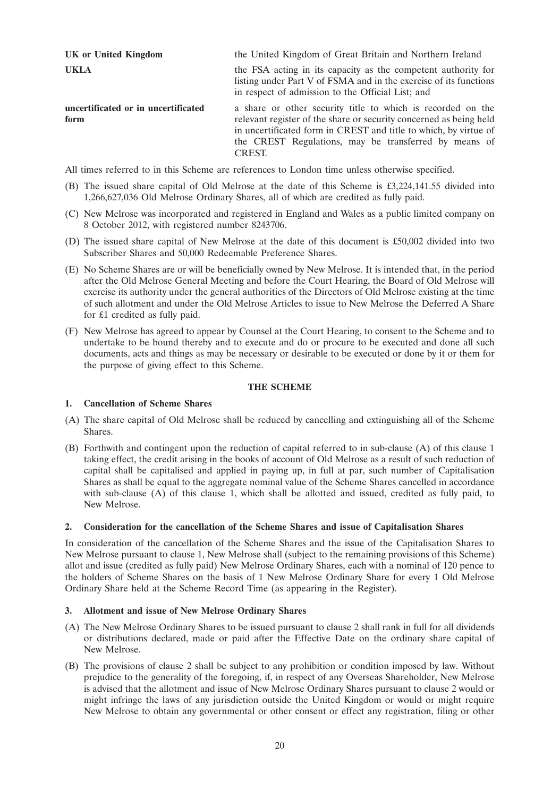| UK or United Kingdom                        | the United Kingdom of Great Britain and Northern Ireland                                                                                                                                                                                                                        |
|---------------------------------------------|---------------------------------------------------------------------------------------------------------------------------------------------------------------------------------------------------------------------------------------------------------------------------------|
| <b>UKLA</b>                                 | the FSA acting in its capacity as the competent authority for<br>listing under Part V of FSMA and in the exercise of its functions<br>in respect of admission to the Official List; and                                                                                         |
| uncertificated or in uncertificated<br>form | a share or other security title to which is recorded on the<br>relevant register of the share or security concerned as being held<br>in uncertificated form in CREST and title to which, by virtue of<br>the CREST Regulations, may be transferred by means of<br><b>CREST.</b> |

All times referred to in this Scheme are references to London time unless otherwise specified.

- (B) The issued share capital of Old Melrose at the date of this Scheme is £3,224,141.55 divided into 1,266,627,036 Old Melrose Ordinary Shares, all of which are credited as fully paid.
- (C) New Melrose was incorporated and registered in England and Wales as a public limited company on 8 October 2012, with registered number 8243706.
- (D) The issued share capital of New Melrose at the date of this document is £50,002 divided into two Subscriber Shares and 50,000 Redeemable Preference Shares.
- (E) No Scheme Shares are or will be beneficially owned by New Melrose. It is intended that, in the period after the Old Melrose General Meeting and before the Court Hearing, the Board of Old Melrose will exercise its authority under the general authorities of the Directors of Old Melrose existing at the time of such allotment and under the Old Melrose Articles to issue to New Melrose the Deferred A Share for £1 credited as fully paid.
- (F) New Melrose has agreed to appear by Counsel at the Court Hearing, to consent to the Scheme and to undertake to be bound thereby and to execute and do or procure to be executed and done all such documents, acts and things as may be necessary or desirable to be executed or done by it or them for the purpose of giving effect to this Scheme.

#### **THE SCHEME**

#### **1. Cancellation of Scheme Shares**

- (A) The share capital of Old Melrose shall be reduced by cancelling and extinguishing all of the Scheme Shares.
- (B) Forthwith and contingent upon the reduction of capital referred to in sub-clause (A) of this clause 1 taking effect, the credit arising in the books of account of Old Melrose as a result of such reduction of capital shall be capitalised and applied in paying up, in full at par, such number of Capitalisation Shares as shall be equal to the aggregate nominal value of the Scheme Shares cancelled in accordance with sub-clause (A) of this clause 1, which shall be allotted and issued, credited as fully paid, to New Melrose.

#### **2. Consideration for the cancellation of the Scheme Shares and issue of Capitalisation Shares**

In consideration of the cancellation of the Scheme Shares and the issue of the Capitalisation Shares to New Melrose pursuant to clause 1, New Melrose shall (subject to the remaining provisions of this Scheme) allot and issue (credited as fully paid) New Melrose Ordinary Shares, each with a nominal of 120 pence to the holders of Scheme Shares on the basis of 1 New Melrose Ordinary Share for every 1 Old Melrose Ordinary Share held at the Scheme Record Time (as appearing in the Register).

#### **3. Allotment and issue of New Melrose Ordinary Shares**

- (A) The New Melrose Ordinary Shares to be issued pursuant to clause 2 shall rank in full for all dividends or distributions declared, made or paid after the Effective Date on the ordinary share capital of New Melrose.
- (B) The provisions of clause 2 shall be subject to any prohibition or condition imposed by law. Without prejudice to the generality of the foregoing, if, in respect of any Overseas Shareholder, New Melrose is advised that the allotment and issue of New Melrose Ordinary Shares pursuant to clause 2 would or might infringe the laws of any jurisdiction outside the United Kingdom or would or might require New Melrose to obtain any governmental or other consent or effect any registration, filing or other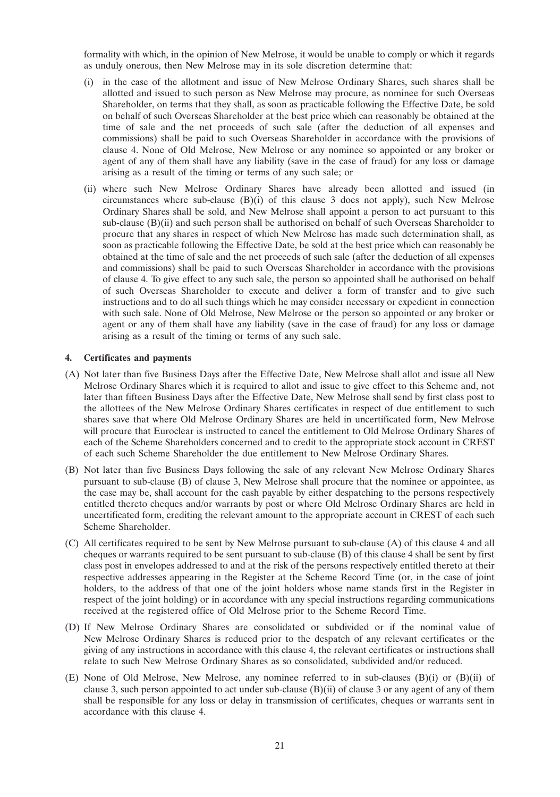formality with which, in the opinion of New Melrose, it would be unable to comply or which it regards as unduly onerous, then New Melrose may in its sole discretion determine that:

- (i) in the case of the allotment and issue of New Melrose Ordinary Shares, such shares shall be allotted and issued to such person as New Melrose may procure, as nominee for such Overseas Shareholder, on terms that they shall, as soon as practicable following the Effective Date, be sold on behalf of such Overseas Shareholder at the best price which can reasonably be obtained at the time of sale and the net proceeds of such sale (after the deduction of all expenses and commissions) shall be paid to such Overseas Shareholder in accordance with the provisions of clause 4. None of Old Melrose, New Melrose or any nominee so appointed or any broker or agent of any of them shall have any liability (save in the case of fraud) for any loss or damage arising as a result of the timing or terms of any such sale; or
- (ii) where such New Melrose Ordinary Shares have already been allotted and issued (in circumstances where sub-clause  $(B)(i)$  of this clause 3 does not apply), such New Melrose Ordinary Shares shall be sold, and New Melrose shall appoint a person to act pursuant to this sub-clause (B)(ii) and such person shall be authorised on behalf of such Overseas Shareholder to procure that any shares in respect of which New Melrose has made such determination shall, as soon as practicable following the Effective Date, be sold at the best price which can reasonably be obtained at the time of sale and the net proceeds of such sale (after the deduction of all expenses and commissions) shall be paid to such Overseas Shareholder in accordance with the provisions of clause 4. To give effect to any such sale, the person so appointed shall be authorised on behalf of such Overseas Shareholder to execute and deliver a form of transfer and to give such instructions and to do all such things which he may consider necessary or expedient in connection with such sale. None of Old Melrose, New Melrose or the person so appointed or any broker or agent or any of them shall have any liability (save in the case of fraud) for any loss or damage arising as a result of the timing or terms of any such sale.

#### **4. Certificates and payments**

- (A) Not later than five Business Days after the Effective Date, New Melrose shall allot and issue all New Melrose Ordinary Shares which it is required to allot and issue to give effect to this Scheme and, not later than fifteen Business Days after the Effective Date, New Melrose shall send by first class post to the allottees of the New Melrose Ordinary Shares certificates in respect of due entitlement to such shares save that where Old Melrose Ordinary Shares are held in uncertificated form, New Melrose will procure that Euroclear is instructed to cancel the entitlement to Old Melrose Ordinary Shares of each of the Scheme Shareholders concerned and to credit to the appropriate stock account in CREST of each such Scheme Shareholder the due entitlement to New Melrose Ordinary Shares.
- (B) Not later than five Business Days following the sale of any relevant New Melrose Ordinary Shares pursuant to sub-clause (B) of clause 3, New Melrose shall procure that the nominee or appointee, as the case may be, shall account for the cash payable by either despatching to the persons respectively entitled thereto cheques and/or warrants by post or where Old Melrose Ordinary Shares are held in uncertificated form, crediting the relevant amount to the appropriate account in CREST of each such Scheme Shareholder.
- (C) All certificates required to be sent by New Melrose pursuant to sub-clause (A) of this clause 4 and all cheques or warrants required to be sent pursuant to sub-clause (B) of this clause 4 shall be sent by first class post in envelopes addressed to and at the risk of the persons respectively entitled thereto at their respective addresses appearing in the Register at the Scheme Record Time (or, in the case of joint holders, to the address of that one of the joint holders whose name stands first in the Register in respect of the joint holding) or in accordance with any special instructions regarding communications received at the registered office of Old Melrose prior to the Scheme Record Time.
- (D) If New Melrose Ordinary Shares are consolidated or subdivided or if the nominal value of New Melrose Ordinary Shares is reduced prior to the despatch of any relevant certificates or the giving of any instructions in accordance with this clause 4, the relevant certificates or instructions shall relate to such New Melrose Ordinary Shares as so consolidated, subdivided and/or reduced.
- (E) None of Old Melrose, New Melrose, any nominee referred to in sub-clauses (B)(i) or (B)(ii) of clause 3, such person appointed to act under sub-clause (B)(ii) of clause 3 or any agent of any of them shall be responsible for any loss or delay in transmission of certificates, cheques or warrants sent in accordance with this clause 4.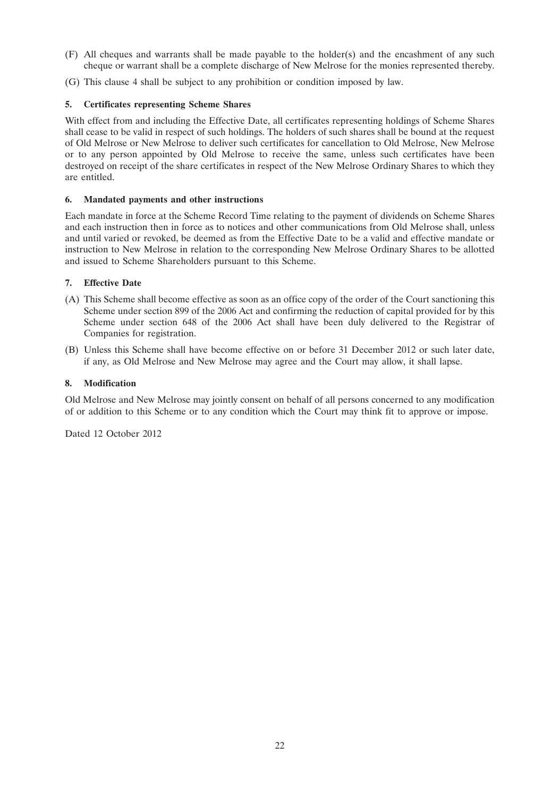- (F) All cheques and warrants shall be made payable to the holder(s) and the encashment of any such cheque or warrant shall be a complete discharge of New Melrose for the monies represented thereby.
- (G) This clause 4 shall be subject to any prohibition or condition imposed by law.

# **5. Certificates representing Scheme Shares**

With effect from and including the Effective Date, all certificates representing holdings of Scheme Shares shall cease to be valid in respect of such holdings. The holders of such shares shall be bound at the request of Old Melrose or New Melrose to deliver such certificates for cancellation to Old Melrose, New Melrose or to any person appointed by Old Melrose to receive the same, unless such certificates have been destroyed on receipt of the share certificates in respect of the New Melrose Ordinary Shares to which they are entitled.

# **6. Mandated payments and other instructions**

Each mandate in force at the Scheme Record Time relating to the payment of dividends on Scheme Shares and each instruction then in force as to notices and other communications from Old Melrose shall, unless and until varied or revoked, be deemed as from the Effective Date to be a valid and effective mandate or instruction to New Melrose in relation to the corresponding New Melrose Ordinary Shares to be allotted and issued to Scheme Shareholders pursuant to this Scheme.

# **7. Effective Date**

- (A) This Scheme shall become effective as soon as an office copy of the order of the Court sanctioning this Scheme under section 899 of the 2006 Act and confirming the reduction of capital provided for by this Scheme under section 648 of the 2006 Act shall have been duly delivered to the Registrar of Companies for registration.
- (B) Unless this Scheme shall have become effective on or before 31 December 2012 or such later date, if any, as Old Melrose and New Melrose may agree and the Court may allow, it shall lapse.

# **8. Modification**

Old Melrose and New Melrose may jointly consent on behalf of all persons concerned to any modification of or addition to this Scheme or to any condition which the Court may think fit to approve or impose.

Dated 12 October 2012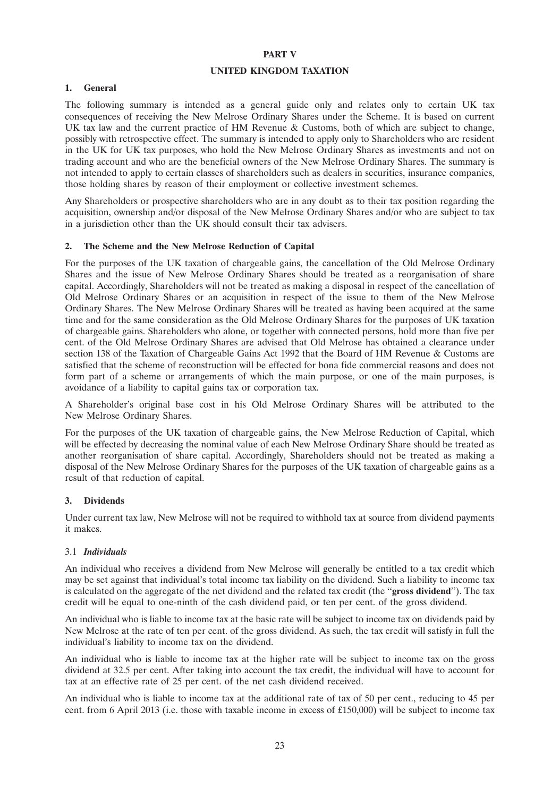#### **PART V**

#### **UNITED KINGDOM TAXATION**

#### **1. General**

The following summary is intended as a general guide only and relates only to certain UK tax consequences of receiving the New Melrose Ordinary Shares under the Scheme. It is based on current UK tax law and the current practice of HM Revenue & Customs, both of which are subject to change, possibly with retrospective effect. The summary is intended to apply only to Shareholders who are resident in the UK for UK tax purposes, who hold the New Melrose Ordinary Shares as investments and not on trading account and who are the beneficial owners of the New Melrose Ordinary Shares. The summary is not intended to apply to certain classes of shareholders such as dealers in securities, insurance companies, those holding shares by reason of their employment or collective investment schemes.

Any Shareholders or prospective shareholders who are in any doubt as to their tax position regarding the acquisition, ownership and/or disposal of the New Melrose Ordinary Shares and/or who are subject to tax in a jurisdiction other than the UK should consult their tax advisers.

#### **2. The Scheme and the New Melrose Reduction of Capital**

For the purposes of the UK taxation of chargeable gains, the cancellation of the Old Melrose Ordinary Shares and the issue of New Melrose Ordinary Shares should be treated as a reorganisation of share capital. Accordingly, Shareholders will not be treated as making a disposal in respect of the cancellation of Old Melrose Ordinary Shares or an acquisition in respect of the issue to them of the New Melrose Ordinary Shares. The New Melrose Ordinary Shares will be treated as having been acquired at the same time and for the same consideration as the Old Melrose Ordinary Shares for the purposes of UK taxation of chargeable gains. Shareholders who alone, or together with connected persons, hold more than five per cent. of the Old Melrose Ordinary Shares are advised that Old Melrose has obtained a clearance under section 138 of the Taxation of Chargeable Gains Act 1992 that the Board of HM Revenue & Customs are satisfied that the scheme of reconstruction will be effected for bona fide commercial reasons and does not form part of a scheme or arrangements of which the main purpose, or one of the main purposes, is avoidance of a liability to capital gains tax or corporation tax.

A Shareholder's original base cost in his Old Melrose Ordinary Shares will be attributed to the New Melrose Ordinary Shares.

For the purposes of the UK taxation of chargeable gains, the New Melrose Reduction of Capital, which will be effected by decreasing the nominal value of each New Melrose Ordinary Share should be treated as another reorganisation of share capital. Accordingly, Shareholders should not be treated as making a disposal of the New Melrose Ordinary Shares for the purposes of the UK taxation of chargeable gains as a result of that reduction of capital.

#### **3. Dividends**

Under current tax law, New Melrose will not be required to withhold tax at source from dividend payments it makes.

#### 3.1 *Individuals*

An individual who receives a dividend from New Melrose will generally be entitled to a tax credit which may be set against that individual's total income tax liability on the dividend. Such a liability to income tax is calculated on the aggregate of the net dividend and the related tax credit (the ''**gross dividend**''). The tax credit will be equal to one-ninth of the cash dividend paid, or ten per cent. of the gross dividend.

An individual who is liable to income tax at the basic rate will be subject to income tax on dividends paid by New Melrose at the rate of ten per cent. of the gross dividend. As such, the tax credit will satisfy in full the individual's liability to income tax on the dividend.

An individual who is liable to income tax at the higher rate will be subject to income tax on the gross dividend at 32.5 per cent. After taking into account the tax credit, the individual will have to account for tax at an effective rate of 25 per cent. of the net cash dividend received.

An individual who is liable to income tax at the additional rate of tax of 50 per cent., reducing to 45 per cent. from 6 April 2013 (i.e. those with taxable income in excess of £150,000) will be subject to income tax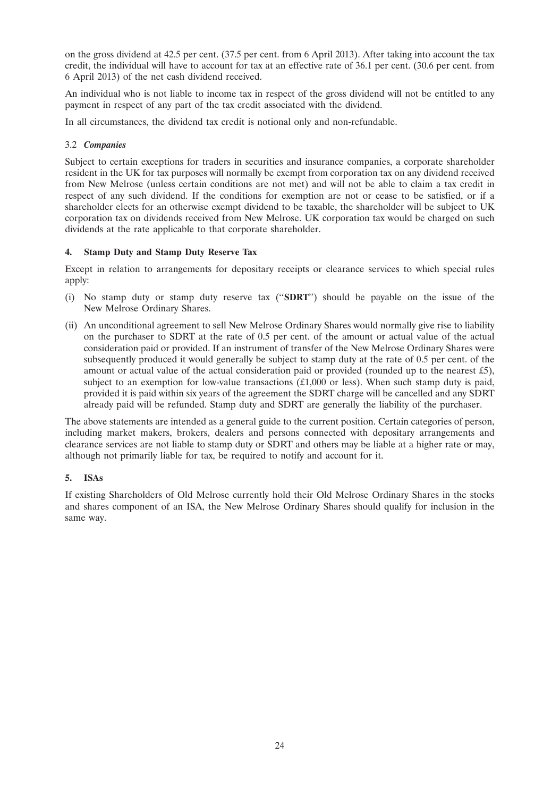on the gross dividend at 42.5 per cent. (37.5 per cent. from 6 April 2013). After taking into account the tax credit, the individual will have to account for tax at an effective rate of 36.1 per cent. (30.6 per cent. from 6 April 2013) of the net cash dividend received.

An individual who is not liable to income tax in respect of the gross dividend will not be entitled to any payment in respect of any part of the tax credit associated with the dividend.

In all circumstances, the dividend tax credit is notional only and non-refundable.

#### 3.2 *Companies*

Subject to certain exceptions for traders in securities and insurance companies, a corporate shareholder resident in the UK for tax purposes will normally be exempt from corporation tax on any dividend received from New Melrose (unless certain conditions are not met) and will not be able to claim a tax credit in respect of any such dividend. If the conditions for exemption are not or cease to be satisfied, or if a shareholder elects for an otherwise exempt dividend to be taxable, the shareholder will be subject to UK corporation tax on dividends received from New Melrose. UK corporation tax would be charged on such dividends at the rate applicable to that corporate shareholder.

# **4. Stamp Duty and Stamp Duty Reserve Tax**

Except in relation to arrangements for depositary receipts or clearance services to which special rules apply:

- (i) No stamp duty or stamp duty reserve tax (''**SDRT**'') should be payable on the issue of the New Melrose Ordinary Shares.
- (ii) An unconditional agreement to sell New Melrose Ordinary Shares would normally give rise to liability on the purchaser to SDRT at the rate of 0.5 per cent. of the amount or actual value of the actual consideration paid or provided. If an instrument of transfer of the New Melrose Ordinary Shares were subsequently produced it would generally be subject to stamp duty at the rate of 0.5 per cent. of the amount or actual value of the actual consideration paid or provided (rounded up to the nearest £5), subject to an exemption for low-value transactions  $(£1,000)$  or less). When such stamp duty is paid, provided it is paid within six years of the agreement the SDRT charge will be cancelled and any SDRT already paid will be refunded. Stamp duty and SDRT are generally the liability of the purchaser.

The above statements are intended as a general guide to the current position. Certain categories of person, including market makers, brokers, dealers and persons connected with depositary arrangements and clearance services are not liable to stamp duty or SDRT and others may be liable at a higher rate or may, although not primarily liable for tax, be required to notify and account for it.

#### **5. ISAs**

If existing Shareholders of Old Melrose currently hold their Old Melrose Ordinary Shares in the stocks and shares component of an ISA, the New Melrose Ordinary Shares should qualify for inclusion in the same way.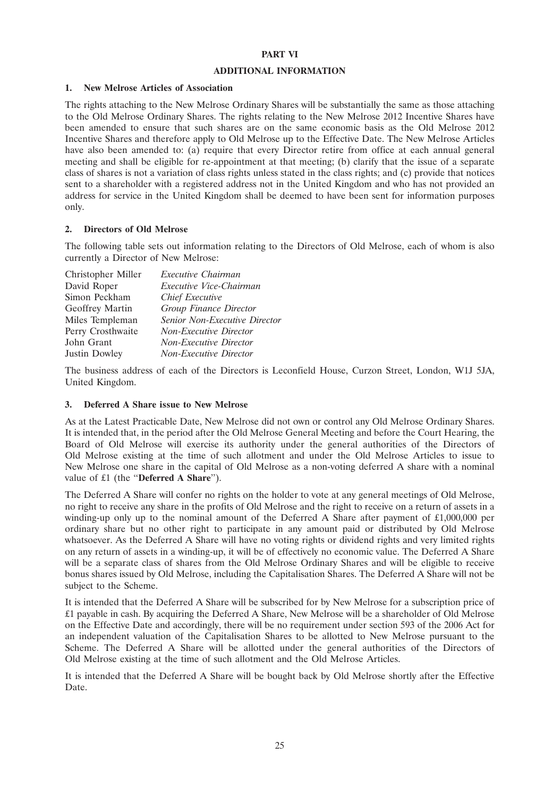#### **PART VI**

#### **ADDITIONAL INFORMATION**

#### **1. New Melrose Articles of Association**

The rights attaching to the New Melrose Ordinary Shares will be substantially the same as those attaching to the Old Melrose Ordinary Shares. The rights relating to the New Melrose 2012 Incentive Shares have been amended to ensure that such shares are on the same economic basis as the Old Melrose 2012 Incentive Shares and therefore apply to Old Melrose up to the Effective Date. The New Melrose Articles have also been amended to: (a) require that every Director retire from office at each annual general meeting and shall be eligible for re-appointment at that meeting; (b) clarify that the issue of a separate class of shares is not a variation of class rights unless stated in the class rights; and (c) provide that notices sent to a shareholder with a registered address not in the United Kingdom and who has not provided an address for service in the United Kingdom shall be deemed to have been sent for information purposes only.

#### **2. Directors of Old Melrose**

The following table sets out information relating to the Directors of Old Melrose, each of whom is also currently a Director of New Melrose:

| Executive Chairman                   |
|--------------------------------------|
| Executive Vice-Chairman              |
| <b>Chief Executive</b>               |
| Group Finance Director               |
| <b>Senior Non-Executive Director</b> |
| <b>Non-Executive Director</b>        |
| <b>Non-Executive Director</b>        |
| Non-Executive Director               |
|                                      |

The business address of each of the Directors is Leconfield House, Curzon Street, London, W1J 5JA, United Kingdom.

#### **3. Deferred A Share issue to New Melrose**

As at the Latest Practicable Date, New Melrose did not own or control any Old Melrose Ordinary Shares. It is intended that, in the period after the Old Melrose General Meeting and before the Court Hearing, the Board of Old Melrose will exercise its authority under the general authorities of the Directors of Old Melrose existing at the time of such allotment and under the Old Melrose Articles to issue to New Melrose one share in the capital of Old Melrose as a non-voting deferred A share with a nominal value of £1 (the ''**Deferred A Share**'').

The Deferred A Share will confer no rights on the holder to vote at any general meetings of Old Melrose, no right to receive any share in the profits of Old Melrose and the right to receive on a return of assets in a winding-up only up to the nominal amount of the Deferred A Share after payment of £1,000,000 per ordinary share but no other right to participate in any amount paid or distributed by Old Melrose whatsoever. As the Deferred A Share will have no voting rights or dividend rights and very limited rights on any return of assets in a winding-up, it will be of effectively no economic value. The Deferred A Share will be a separate class of shares from the Old Melrose Ordinary Shares and will be eligible to receive bonus shares issued by Old Melrose, including the Capitalisation Shares. The Deferred A Share will not be subject to the Scheme.

It is intended that the Deferred A Share will be subscribed for by New Melrose for a subscription price of £1 payable in cash. By acquiring the Deferred A Share, New Melrose will be a shareholder of Old Melrose on the Effective Date and accordingly, there will be no requirement under section 593 of the 2006 Act for an independent valuation of the Capitalisation Shares to be allotted to New Melrose pursuant to the Scheme. The Deferred A Share will be allotted under the general authorities of the Directors of Old Melrose existing at the time of such allotment and the Old Melrose Articles.

It is intended that the Deferred A Share will be bought back by Old Melrose shortly after the Effective Date.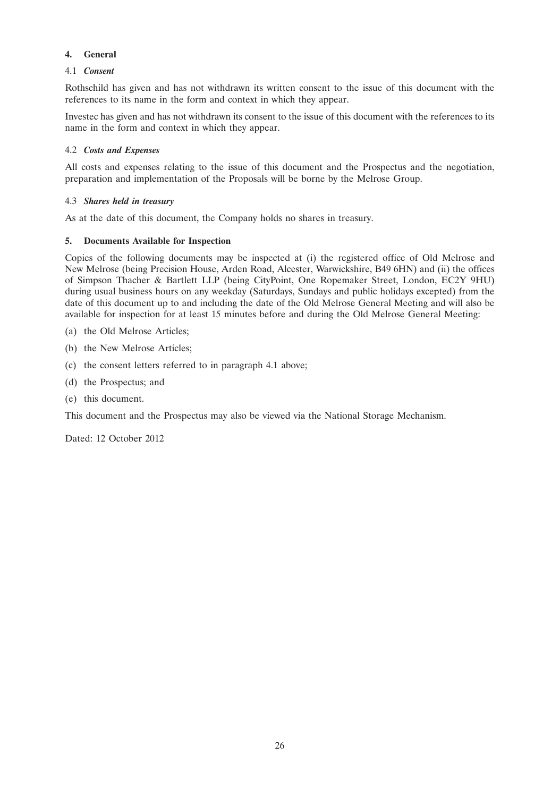## **4. General**

# 4.1 *Consent*

Rothschild has given and has not withdrawn its written consent to the issue of this document with the references to its name in the form and context in which they appear.

Investec has given and has not withdrawn its consent to the issue of this document with the references to its name in the form and context in which they appear.

# 4.2 *Costs and Expenses*

All costs and expenses relating to the issue of this document and the Prospectus and the negotiation, preparation and implementation of the Proposals will be borne by the Melrose Group.

# 4.3 *Shares held in treasury*

As at the date of this document, the Company holds no shares in treasury.

# **5. Documents Available for Inspection**

Copies of the following documents may be inspected at (i) the registered office of Old Melrose and New Melrose (being Precision House, Arden Road, Alcester, Warwickshire, B49 6HN) and (ii) the offices of Simpson Thacher & Bartlett LLP (being CityPoint, One Ropemaker Street, London, EC2Y 9HU) during usual business hours on any weekday (Saturdays, Sundays and public holidays excepted) from the date of this document up to and including the date of the Old Melrose General Meeting and will also be available for inspection for at least 15 minutes before and during the Old Melrose General Meeting:

- (a) the Old Melrose Articles;
- (b) the New Melrose Articles;
- (c) the consent letters referred to in paragraph 4.1 above;
- (d) the Prospectus; and
- (e) this document.

This document and the Prospectus may also be viewed via the National Storage Mechanism.

Dated: 12 October 2012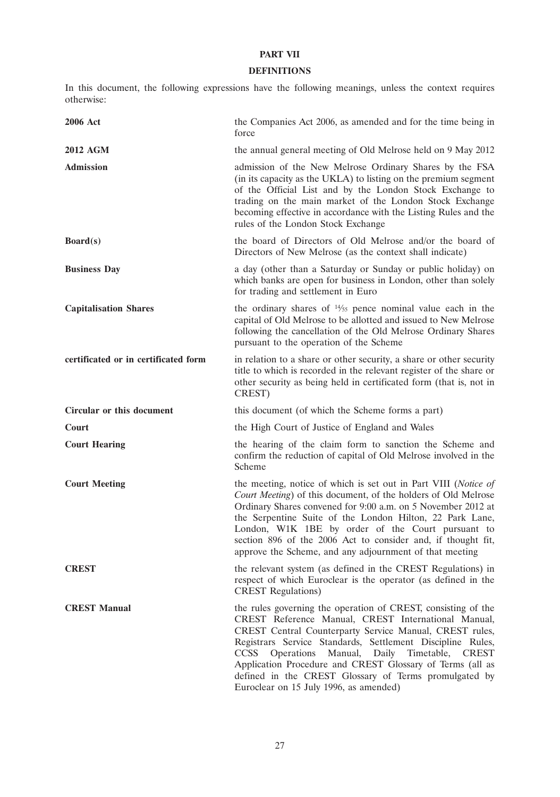# **PART VII**

# **DEFINITIONS**

In this document, the following expressions have the following meanings, unless the context requires otherwise:

| 2006 Act                             | the Companies Act 2006, as amended and for the time being in<br>force                                                                                                                                                                                                                                                                                                                                                                                                                  |
|--------------------------------------|----------------------------------------------------------------------------------------------------------------------------------------------------------------------------------------------------------------------------------------------------------------------------------------------------------------------------------------------------------------------------------------------------------------------------------------------------------------------------------------|
| <b>2012 AGM</b>                      | the annual general meeting of Old Melrose held on 9 May 2012                                                                                                                                                                                                                                                                                                                                                                                                                           |
| <b>Admission</b>                     | admission of the New Melrose Ordinary Shares by the FSA<br>(in its capacity as the UKLA) to listing on the premium segment<br>of the Official List and by the London Stock Exchange to<br>trading on the main market of the London Stock Exchange<br>becoming effective in accordance with the Listing Rules and the<br>rules of the London Stock Exchange                                                                                                                             |
| Board(s)                             | the board of Directors of Old Melrose and/or the board of<br>Directors of New Melrose (as the context shall indicate)                                                                                                                                                                                                                                                                                                                                                                  |
| <b>Business Day</b>                  | a day (other than a Saturday or Sunday or public holiday) on<br>which banks are open for business in London, other than solely<br>for trading and settlement in Euro                                                                                                                                                                                                                                                                                                                   |
| <b>Capitalisation Shares</b>         | the ordinary shares of $\frac{14}{55}$ pence nominal value each in the<br>capital of Old Melrose to be allotted and issued to New Melrose<br>following the cancellation of the Old Melrose Ordinary Shares<br>pursuant to the operation of the Scheme                                                                                                                                                                                                                                  |
| certificated or in certificated form | in relation to a share or other security, a share or other security<br>title to which is recorded in the relevant register of the share or<br>other security as being held in certificated form (that is, not in<br>CREST)                                                                                                                                                                                                                                                             |
| Circular or this document            | this document (of which the Scheme forms a part)                                                                                                                                                                                                                                                                                                                                                                                                                                       |
| Court                                | the High Court of Justice of England and Wales                                                                                                                                                                                                                                                                                                                                                                                                                                         |
| <b>Court Hearing</b>                 | the hearing of the claim form to sanction the Scheme and<br>confirm the reduction of capital of Old Melrose involved in the<br>Scheme                                                                                                                                                                                                                                                                                                                                                  |
| <b>Court Meeting</b>                 | the meeting, notice of which is set out in Part VIII (Notice of<br>Court Meeting) of this document, of the holders of Old Melrose<br>Ordinary Shares convened for 9:00 a.m. on 5 November 2012 at<br>the Serpentine Suite of the London Hilton, 22 Park Lane,<br>London, W1K 1BE by order of the Court pursuant to<br>section 896 of the 2006 Act to consider and, if thought fit,<br>approve the Scheme, and any adjournment of that meeting                                          |
| <b>CREST</b>                         | the relevant system (as defined in the CREST Regulations) in<br>respect of which Euroclear is the operator (as defined in the<br><b>CREST</b> Regulations)                                                                                                                                                                                                                                                                                                                             |
| <b>CREST Manual</b>                  | the rules governing the operation of CREST, consisting of the<br>CREST Reference Manual, CREST International Manual,<br>CREST Central Counterparty Service Manual, CREST rules,<br>Registrars Service Standards, Settlement Discipline Rules,<br>CCSS<br>Manual, Daily Timetable,<br><b>Operations</b><br><b>CREST</b><br>Application Procedure and CREST Glossary of Terms (all as<br>defined in the CREST Glossary of Terms promulgated by<br>Euroclear on 15 July 1996, as amended) |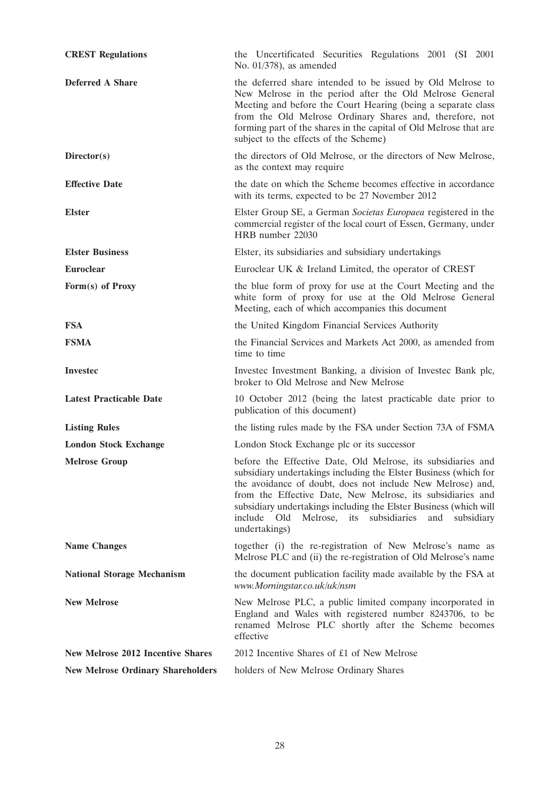| <b>CREST Regulations</b>                 | the Uncertificated Securities Regulations 2001 (SI 2001<br>No. 01/378), as amended                                                                                                                                                                                                                                                                                                                                        |
|------------------------------------------|---------------------------------------------------------------------------------------------------------------------------------------------------------------------------------------------------------------------------------------------------------------------------------------------------------------------------------------------------------------------------------------------------------------------------|
| <b>Deferred A Share</b>                  | the deferred share intended to be issued by Old Melrose to<br>New Melrose in the period after the Old Melrose General<br>Meeting and before the Court Hearing (being a separate class<br>from the Old Melrose Ordinary Shares and, therefore, not<br>forming part of the shares in the capital of Old Melrose that are<br>subject to the effects of the Scheme)                                                           |
| $\text{Directory}(s)$                    | the directors of Old Melrose, or the directors of New Melrose,<br>as the context may require                                                                                                                                                                                                                                                                                                                              |
| <b>Effective Date</b>                    | the date on which the Scheme becomes effective in accordance<br>with its terms, expected to be 27 November 2012                                                                                                                                                                                                                                                                                                           |
| <b>Elster</b>                            | Elster Group SE, a German Societas Europaea registered in the<br>commercial register of the local court of Essen, Germany, under<br>HRB number 22030                                                                                                                                                                                                                                                                      |
| <b>Elster Business</b>                   | Elster, its subsidiaries and subsidiary undertakings                                                                                                                                                                                                                                                                                                                                                                      |
| <b>Euroclear</b>                         | Euroclear UK & Ireland Limited, the operator of CREST                                                                                                                                                                                                                                                                                                                                                                     |
| Form(s) of Proxy                         | the blue form of proxy for use at the Court Meeting and the<br>white form of proxy for use at the Old Melrose General<br>Meeting, each of which accompanies this document                                                                                                                                                                                                                                                 |
| <b>FSA</b>                               | the United Kingdom Financial Services Authority                                                                                                                                                                                                                                                                                                                                                                           |
| <b>FSMA</b>                              | the Financial Services and Markets Act 2000, as amended from<br>time to time                                                                                                                                                                                                                                                                                                                                              |
| <b>Invested</b>                          | Investec Investment Banking, a division of Investec Bank plc,<br>broker to Old Melrose and New Melrose                                                                                                                                                                                                                                                                                                                    |
| <b>Latest Practicable Date</b>           | 10 October 2012 (being the latest practicable date prior to<br>publication of this document)                                                                                                                                                                                                                                                                                                                              |
| <b>Listing Rules</b>                     | the listing rules made by the FSA under Section 73A of FSMA                                                                                                                                                                                                                                                                                                                                                               |
| <b>London Stock Exchange</b>             | London Stock Exchange plc or its successor                                                                                                                                                                                                                                                                                                                                                                                |
| <b>Melrose Group</b>                     | before the Effective Date, Old Melrose, its subsidiaries and<br>subsidiary undertakings including the Elster Business (which for<br>the avoidance of doubt, does not include New Melrose) and,<br>from the Effective Date, New Melrose, its subsidiaries and<br>subsidiary undertakings including the Elster Business (which will<br>subsidiaries<br>Melrose, its<br>include<br>Old<br>and<br>subsidiary<br>undertakings) |
| <b>Name Changes</b>                      | together (i) the re-registration of New Melrose's name as<br>Melrose PLC and (ii) the re-registration of Old Melrose's name                                                                                                                                                                                                                                                                                               |
| <b>National Storage Mechanism</b>        | the document publication facility made available by the FSA at<br>www.Morningstar.co.uk/uk/nsm                                                                                                                                                                                                                                                                                                                            |
| <b>New Melrose</b>                       | New Melrose PLC, a public limited company incorporated in<br>England and Wales with registered number 8243706, to be<br>renamed Melrose PLC shortly after the Scheme becomes<br>effective                                                                                                                                                                                                                                 |
| <b>New Melrose 2012 Incentive Shares</b> | 2012 Incentive Shares of £1 of New Melrose                                                                                                                                                                                                                                                                                                                                                                                |
| <b>New Melrose Ordinary Shareholders</b> | holders of New Melrose Ordinary Shares                                                                                                                                                                                                                                                                                                                                                                                    |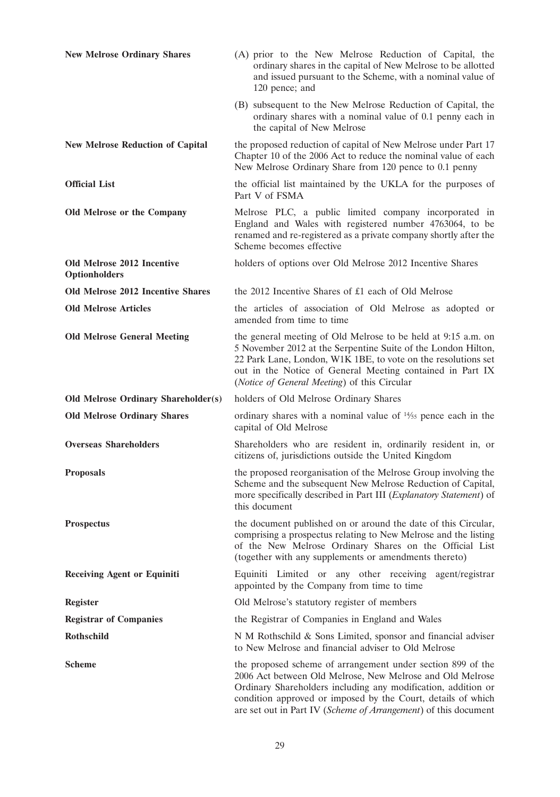| <b>New Melrose Ordinary Shares</b>                 | (A) prior to the New Melrose Reduction of Capital, the<br>ordinary shares in the capital of New Melrose to be allotted<br>and issued pursuant to the Scheme, with a nominal value of<br>120 pence; and                                                                                                                       |
|----------------------------------------------------|------------------------------------------------------------------------------------------------------------------------------------------------------------------------------------------------------------------------------------------------------------------------------------------------------------------------------|
|                                                    | (B) subsequent to the New Melrose Reduction of Capital, the<br>ordinary shares with a nominal value of 0.1 penny each in<br>the capital of New Melrose                                                                                                                                                                       |
| <b>New Melrose Reduction of Capital</b>            | the proposed reduction of capital of New Melrose under Part 17<br>Chapter 10 of the 2006 Act to reduce the nominal value of each<br>New Melrose Ordinary Share from 120 pence to 0.1 penny                                                                                                                                   |
| <b>Official List</b>                               | the official list maintained by the UKLA for the purposes of<br>Part V of FSMA                                                                                                                                                                                                                                               |
| Old Melrose or the Company                         | Melrose PLC, a public limited company incorporated in<br>England and Wales with registered number 4763064, to be<br>renamed and re-registered as a private company shortly after the<br>Scheme becomes effective                                                                                                             |
| Old Melrose 2012 Incentive<br><b>Optionholders</b> | holders of options over Old Melrose 2012 Incentive Shares                                                                                                                                                                                                                                                                    |
| <b>Old Melrose 2012 Incentive Shares</b>           | the 2012 Incentive Shares of £1 each of Old Melrose                                                                                                                                                                                                                                                                          |
| <b>Old Melrose Articles</b>                        | the articles of association of Old Melrose as adopted or<br>amended from time to time                                                                                                                                                                                                                                        |
| <b>Old Melrose General Meeting</b>                 | the general meeting of Old Melrose to be held at 9:15 a.m. on<br>5 November 2012 at the Serpentine Suite of the London Hilton,<br>22 Park Lane, London, W1K 1BE, to vote on the resolutions set<br>out in the Notice of General Meeting contained in Part IX<br>( <i>Notice of General Meeting</i> ) of this Circular        |
| <b>Old Melrose Ordinary Shareholder(s)</b>         | holders of Old Melrose Ordinary Shares                                                                                                                                                                                                                                                                                       |
| <b>Old Melrose Ordinary Shares</b>                 | ordinary shares with a nominal value of $\frac{14}{55}$ pence each in the<br>capital of Old Melrose                                                                                                                                                                                                                          |
| <b>Overseas Shareholders</b>                       | Shareholders who are resident in, ordinarily resident in, or<br>citizens of, jurisdictions outside the United Kingdom                                                                                                                                                                                                        |
| <b>Proposals</b>                                   | the proposed reorganisation of the Melrose Group involving the<br>Scheme and the subsequent New Melrose Reduction of Capital,<br>more specifically described in Part III (Explanatory Statement) of<br>this document                                                                                                         |
| <b>Prospectus</b>                                  | the document published on or around the date of this Circular,<br>comprising a prospectus relating to New Melrose and the listing<br>of the New Melrose Ordinary Shares on the Official List<br>(together with any supplements or amendments thereto)                                                                        |
| Receiving Agent or Equiniti                        | Equiniti Limited or any other receiving agent/registrar<br>appointed by the Company from time to time                                                                                                                                                                                                                        |
| <b>Register</b>                                    | Old Melrose's statutory register of members                                                                                                                                                                                                                                                                                  |
| <b>Registrar of Companies</b>                      | the Registrar of Companies in England and Wales                                                                                                                                                                                                                                                                              |
| Rothschild                                         | N M Rothschild & Sons Limited, sponsor and financial adviser<br>to New Melrose and financial adviser to Old Melrose                                                                                                                                                                                                          |
| <b>Scheme</b>                                      | the proposed scheme of arrangement under section 899 of the<br>2006 Act between Old Melrose, New Melrose and Old Melrose<br>Ordinary Shareholders including any modification, addition or<br>condition approved or imposed by the Court, details of which<br>are set out in Part IV (Scheme of Arrangement) of this document |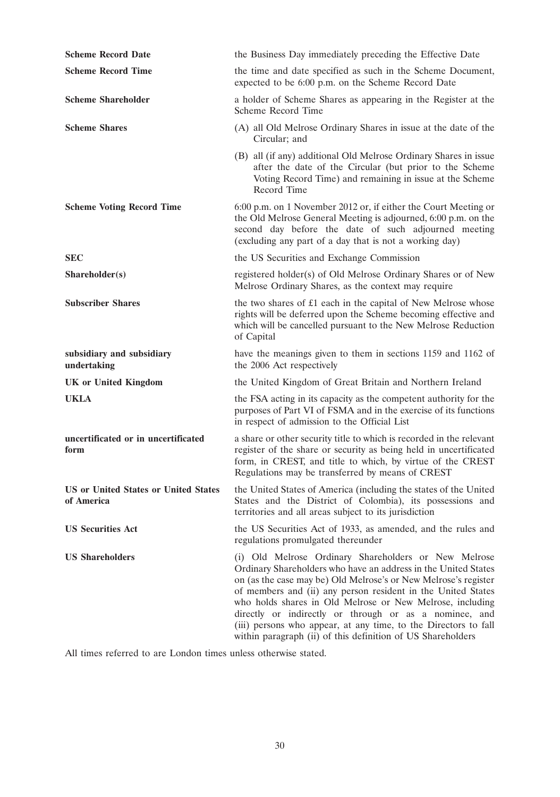| <b>Scheme Record Date</b>                                 | the Business Day immediately preceding the Effective Date                                                                                                                                                                                                                                                                                                                                                                                                                                                          |
|-----------------------------------------------------------|--------------------------------------------------------------------------------------------------------------------------------------------------------------------------------------------------------------------------------------------------------------------------------------------------------------------------------------------------------------------------------------------------------------------------------------------------------------------------------------------------------------------|
| <b>Scheme Record Time</b>                                 | the time and date specified as such in the Scheme Document,<br>expected to be 6:00 p.m. on the Scheme Record Date                                                                                                                                                                                                                                                                                                                                                                                                  |
| <b>Scheme Shareholder</b>                                 | a holder of Scheme Shares as appearing in the Register at the<br>Scheme Record Time                                                                                                                                                                                                                                                                                                                                                                                                                                |
| <b>Scheme Shares</b>                                      | (A) all Old Melrose Ordinary Shares in issue at the date of the<br>Circular; and                                                                                                                                                                                                                                                                                                                                                                                                                                   |
|                                                           | (B) all (if any) additional Old Melrose Ordinary Shares in issue<br>after the date of the Circular (but prior to the Scheme<br>Voting Record Time) and remaining in issue at the Scheme<br>Record Time                                                                                                                                                                                                                                                                                                             |
| <b>Scheme Voting Record Time</b>                          | 6:00 p.m. on 1 November 2012 or, if either the Court Meeting or<br>the Old Melrose General Meeting is adjourned, 6:00 p.m. on the<br>second day before the date of such adjourned meeting<br>(excluding any part of a day that is not a working day)                                                                                                                                                                                                                                                               |
| <b>SEC</b>                                                | the US Securities and Exchange Commission                                                                                                                                                                                                                                                                                                                                                                                                                                                                          |
| Shareholder(s)                                            | registered holder(s) of Old Melrose Ordinary Shares or of New<br>Melrose Ordinary Shares, as the context may require                                                                                                                                                                                                                                                                                                                                                                                               |
| <b>Subscriber Shares</b>                                  | the two shares of £1 each in the capital of New Melrose whose<br>rights will be deferred upon the Scheme becoming effective and<br>which will be cancelled pursuant to the New Melrose Reduction<br>of Capital                                                                                                                                                                                                                                                                                                     |
| subsidiary and subsidiary<br>undertaking                  | have the meanings given to them in sections 1159 and 1162 of<br>the 2006 Act respectively                                                                                                                                                                                                                                                                                                                                                                                                                          |
| <b>UK or United Kingdom</b>                               | the United Kingdom of Great Britain and Northern Ireland                                                                                                                                                                                                                                                                                                                                                                                                                                                           |
| <b>UKLA</b>                                               | the FSA acting in its capacity as the competent authority for the<br>purposes of Part VI of FSMA and in the exercise of its functions<br>in respect of admission to the Official List                                                                                                                                                                                                                                                                                                                              |
| uncertificated or in uncertificated<br>form               | a share or other security title to which is recorded in the relevant<br>register of the share or security as being held in uncertificated<br>form, in CREST, and title to which, by virtue of the CREST<br>Regulations may be transferred by means of CREST                                                                                                                                                                                                                                                        |
| <b>US or United States or United States</b><br>of America | the United States of America (including the states of the United<br>States and the District of Colombia), its possessions and<br>territories and all areas subject to its jurisdiction                                                                                                                                                                                                                                                                                                                             |
| <b>US Securities Act</b>                                  | the US Securities Act of 1933, as amended, and the rules and<br>regulations promulgated thereunder                                                                                                                                                                                                                                                                                                                                                                                                                 |
| <b>US Shareholders</b>                                    | (i) Old Melrose Ordinary Shareholders or New Melrose<br>Ordinary Shareholders who have an address in the United States<br>on (as the case may be) Old Melrose's or New Melrose's register<br>of members and (ii) any person resident in the United States<br>who holds shares in Old Melrose or New Melrose, including<br>directly or indirectly or through or as a nominee, and<br>(iii) persons who appear, at any time, to the Directors to fall<br>within paragraph (ii) of this definition of US Shareholders |

All times referred to are London times unless otherwise stated.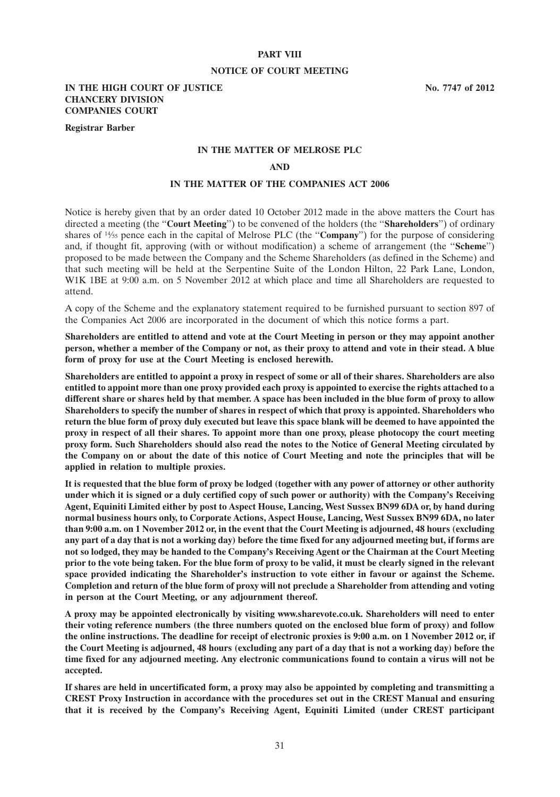#### **PART VIII**

#### **NOTICE OF COURT MEETING**

#### **IN THE HIGH COURT OF JUSTICE 2012** No. 7747 of 2012 **CHANCERY DIVISION COMPANIES COURT**

**Registrar Barber**

#### **IN THE MATTER OF MELROSE PLC**

#### **AND**

#### **IN THE MATTER OF THE COMPANIES ACT 2006**

Notice is hereby given that by an order dated 10 October 2012 made in the above matters the Court has directed a meeting (the ''**Court Meeting**'') to be convened of the holders (the ''**Shareholders**'') of ordinary shares of 14⁄55 pence each in the capital of Melrose PLC (the ''**Company**'') for the purpose of considering and, if thought fit, approving (with or without modification) a scheme of arrangement (the ''**Scheme**'') proposed to be made between the Company and the Scheme Shareholders (as defined in the Scheme) and that such meeting will be held at the Serpentine Suite of the London Hilton, 22 Park Lane, London, W1K 1BE at 9:00 a.m. on 5 November 2012 at which place and time all Shareholders are requested to attend.

A copy of the Scheme and the explanatory statement required to be furnished pursuant to section 897 of the Companies Act 2006 are incorporated in the document of which this notice forms a part.

**Shareholders are entitled to attend and vote at the Court Meeting in person or they may appoint another person, whether a member of the Company or not, as their proxy to attend and vote in their stead. A blue form of proxy for use at the Court Meeting is enclosed herewith.**

**Shareholders are entitled to appoint a proxy in respect of some or all of their shares. Shareholders are also entitled to appoint more than one proxy provided each proxy is appointed to exercise the rights attached to a different share or shares held by that member. A space has been included in the blue form of proxy to allow Shareholders to specify the number of shares in respect of which that proxy is appointed. Shareholders who return the blue form of proxy duly executed but leave this space blank will be deemed to have appointed the proxy in respect of all their shares. To appoint more than one proxy, please photocopy the court meeting proxy form. Such Shareholders should also read the notes to the Notice of General Meeting circulated by the Company on or about the date of this notice of Court Meeting and note the principles that will be applied in relation to multiple proxies.**

**It is requested that the blue form of proxy be lodged (together with any power of attorney or other authority under which it is signed or a duly certified copy of such power or authority) with the Company's Receiving Agent, Equiniti Limited either by post to Aspect House, Lancing, West Sussex BN99 6DA or, by hand during normal business hours only, to Corporate Actions, Aspect House, Lancing, West Sussex BN99 6DA, no later than 9:00 a.m. on 1 November 2012 or, in the event that the Court Meeting is adjourned, 48 hours (excluding any part of a day that is not a working day) before the time fixed for any adjourned meeting but, if forms are not so lodged, they may be handed to the Company's Receiving Agent or the Chairman at the Court Meeting prior to the vote being taken. For the blue form of proxy to be valid, it must be clearly signed in the relevant space provided indicating the Shareholder's instruction to vote either in favour or against the Scheme. Completion and return of the blue form of proxy will not preclude a Shareholder from attending and voting in person at the Court Meeting, or any adjournment thereof.**

**A proxy may be appointed electronically by visiting www.sharevote.co.uk. Shareholders will need to enter their voting reference numbers (the three numbers quoted on the enclosed blue form of proxy) and follow the online instructions. The deadline for receipt of electronic proxies is 9:00 a.m. on 1 November 2012 or, if the Court Meeting is adjourned, 48 hours (excluding any part of a day that is not a working day) before the time fixed for any adjourned meeting. Any electronic communications found to contain a virus will not be accepted.**

**If shares are held in uncertificated form, a proxy may also be appointed by completing and transmitting a CREST Proxy Instruction in accordance with the procedures set out in the CREST Manual and ensuring that it is received by the Company's Receiving Agent, Equiniti Limited (under CREST participant**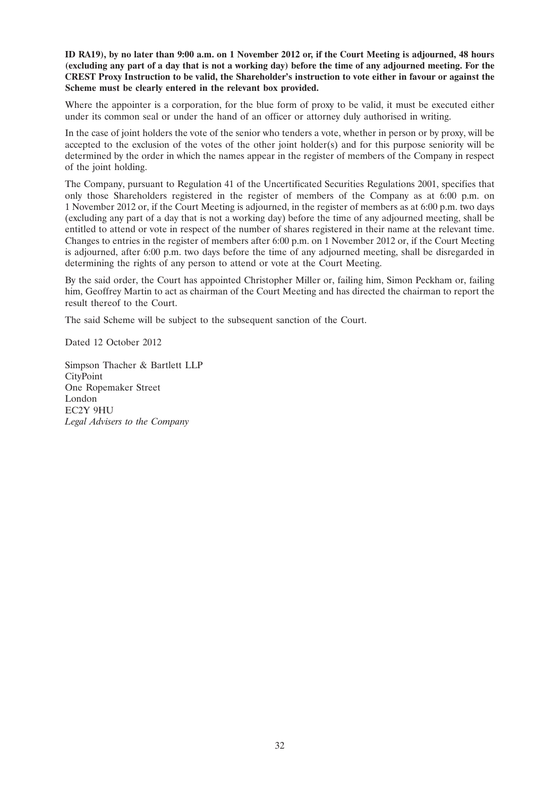**ID RA19), by no later than 9:00 a.m. on 1 November 2012 or, if the Court Meeting is adjourned, 48 hours (excluding any part of a day that is not a working day) before the time of any adjourned meeting. For the CREST Proxy Instruction to be valid, the Shareholder's instruction to vote either in favour or against the Scheme must be clearly entered in the relevant box provided.**

Where the appointer is a corporation, for the blue form of proxy to be valid, it must be executed either under its common seal or under the hand of an officer or attorney duly authorised in writing.

In the case of joint holders the vote of the senior who tenders a vote, whether in person or by proxy, will be accepted to the exclusion of the votes of the other joint holder(s) and for this purpose seniority will be determined by the order in which the names appear in the register of members of the Company in respect of the joint holding.

The Company, pursuant to Regulation 41 of the Uncertificated Securities Regulations 2001, specifies that only those Shareholders registered in the register of members of the Company as at 6:00 p.m. on 1 November 2012 or, if the Court Meeting is adjourned, in the register of members as at 6:00 p.m. two days (excluding any part of a day that is not a working day) before the time of any adjourned meeting, shall be entitled to attend or vote in respect of the number of shares registered in their name at the relevant time. Changes to entries in the register of members after 6:00 p.m. on 1 November 2012 or, if the Court Meeting is adjourned, after 6:00 p.m. two days before the time of any adjourned meeting, shall be disregarded in determining the rights of any person to attend or vote at the Court Meeting.

By the said order, the Court has appointed Christopher Miller or, failing him, Simon Peckham or, failing him, Geoffrey Martin to act as chairman of the Court Meeting and has directed the chairman to report the result thereof to the Court.

The said Scheme will be subject to the subsequent sanction of the Court.

Dated 12 October 2012

Simpson Thacher & Bartlett LLP **CityPoint** One Ropemaker Street London EC2Y 9HU *Legal Advisers to the Company*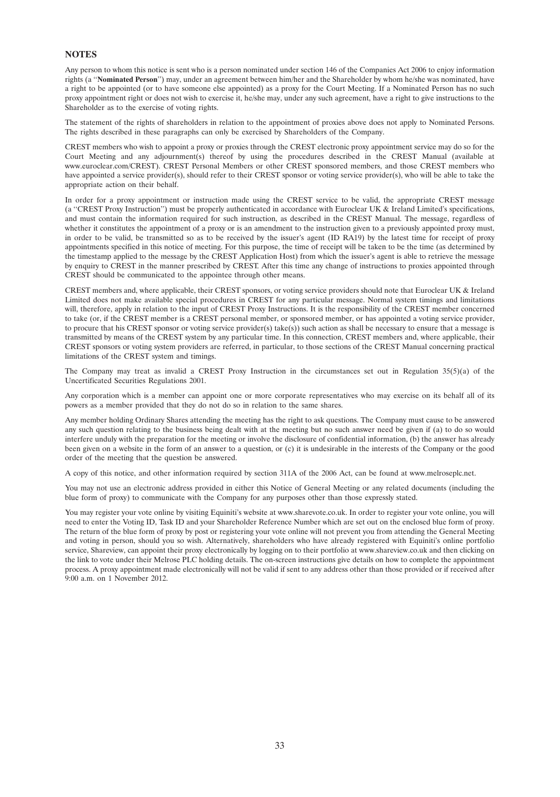#### **NOTES**

Any person to whom this notice is sent who is a person nominated under section 146 of the Companies Act 2006 to enjoy information rights (a ''**Nominated Person**'') may, under an agreement between him/her and the Shareholder by whom he/she was nominated, have a right to be appointed (or to have someone else appointed) as a proxy for the Court Meeting. If a Nominated Person has no such proxy appointment right or does not wish to exercise it, he/she may, under any such agreement, have a right to give instructions to the Shareholder as to the exercise of voting rights.

The statement of the rights of shareholders in relation to the appointment of proxies above does not apply to Nominated Persons. The rights described in these paragraphs can only be exercised by Shareholders of the Company.

CREST members who wish to appoint a proxy or proxies through the CREST electronic proxy appointment service may do so for the Court Meeting and any adjournment(s) thereof by using the procedures described in the CREST Manual (available at www.euroclear.com/CREST). CREST Personal Members or other CREST sponsored members, and those CREST members who have appointed a service provider(s), should refer to their CREST sponsor or voting service provider(s), who will be able to take the appropriate action on their behalf.

In order for a proxy appointment or instruction made using the CREST service to be valid, the appropriate CREST message (a ''CREST Proxy Instruction'') must be properly authenticated in accordance with Euroclear UK & Ireland Limited's specifications, and must contain the information required for such instruction, as described in the CREST Manual. The message, regardless of whether it constitutes the appointment of a proxy or is an amendment to the instruction given to a previously appointed proxy must, in order to be valid, be transmitted so as to be received by the issuer's agent (ID RA19) by the latest time for receipt of proxy appointments specified in this notice of meeting. For this purpose, the time of receipt will be taken to be the time (as determined by the timestamp applied to the message by the CREST Application Host) from which the issuer's agent is able to retrieve the message by enquiry to CREST in the manner prescribed by CREST. After this time any change of instructions to proxies appointed through CREST should be communicated to the appointee through other means.

CREST members and, where applicable, their CREST sponsors, or voting service providers should note that Euroclear UK & Ireland Limited does not make available special procedures in CREST for any particular message. Normal system timings and limitations will, therefore, apply in relation to the input of CREST Proxy Instructions. It is the responsibility of the CREST member concerned to take (or, if the CREST member is a CREST personal member, or sponsored member, or has appointed a voting service provider, to procure that his CREST sponsor or voting service provider(s) take(s)) such action as shall be necessary to ensure that a message is transmitted by means of the CREST system by any particular time. In this connection, CREST members and, where applicable, their CREST sponsors or voting system providers are referred, in particular, to those sections of the CREST Manual concerning practical limitations of the CREST system and timings.

The Company may treat as invalid a CREST Proxy Instruction in the circumstances set out in Regulation 35(5)(a) of the Uncertificated Securities Regulations 2001.

Any corporation which is a member can appoint one or more corporate representatives who may exercise on its behalf all of its powers as a member provided that they do not do so in relation to the same shares.

Any member holding Ordinary Shares attending the meeting has the right to ask questions. The Company must cause to be answered any such question relating to the business being dealt with at the meeting but no such answer need be given if (a) to do so would interfere unduly with the preparation for the meeting or involve the disclosure of confidential information, (b) the answer has already been given on a website in the form of an answer to a question, or (c) it is undesirable in the interests of the Company or the good order of the meeting that the question be answered.

A copy of this notice, and other information required by section 311A of the 2006 Act, can be found at www.melroseplc.net.

You may not use an electronic address provided in either this Notice of General Meeting or any related documents (including the blue form of proxy) to communicate with the Company for any purposes other than those expressly stated.

You may register your vote online by visiting Equiniti's website at www.sharevote.co.uk. In order to register your vote online, you will need to enter the Voting ID, Task ID and your Shareholder Reference Number which are set out on the enclosed blue form of proxy. The return of the blue form of proxy by post or registering your vote online will not prevent you from attending the General Meeting and voting in person, should you so wish. Alternatively, shareholders who have already registered with Equiniti's online portfolio service, Shareview, can appoint their proxy electronically by logging on to their portfolio at www.shareview.co.uk and then clicking on the link to vote under their Melrose PLC holding details. The on-screen instructions give details on how to complete the appointment process. A proxy appointment made electronically will not be valid if sent to any address other than those provided or if received after 9:00 a.m. on 1 November 2012.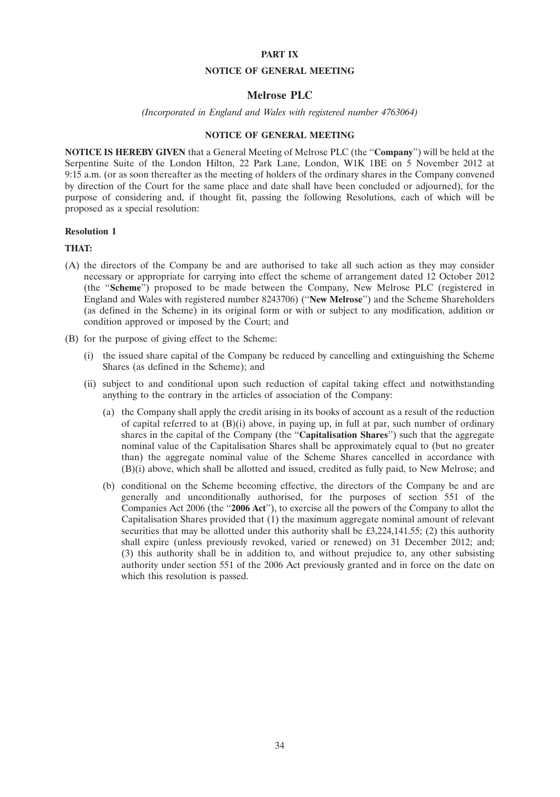#### **PART IX**

#### **NOTICE OF GENERAL MEETING**

# **Melrose PLC**

#### *(Incorporated in England and Wales with registered number 4763064)*

#### **NOTICE OF GENERAL MEETING**

**NOTICE IS HEREBY GIVEN** that a General Meeting of Melrose PLC (the ''**Company**'') will be held at the Serpentine Suite of the London Hilton, 22 Park Lane, London, W1K 1BE on 5 November 2012 at 9:15 a.m. (or as soon thereafter as the meeting of holders of the ordinary shares in the Company convened by direction of the Court for the same place and date shall have been concluded or adjourned), for the purpose of considering and, if thought fit, passing the following Resolutions, each of which will be proposed as a special resolution:

#### **Resolution 1**

#### **THAT:**

- (A) the directors of the Company be and are authorised to take all such action as they may consider necessary or appropriate for carrying into effect the scheme of arrangement dated 12 October 2012 (the ''**Scheme**'') proposed to be made between the Company, New Melrose PLC (registered in England and Wales with registered number 8243706) (''**New Melrose**'') and the Scheme Shareholders (as defined in the Scheme) in its original form or with or subject to any modification, addition or condition approved or imposed by the Court; and
- (B) for the purpose of giving effect to the Scheme:
	- (i) the issued share capital of the Company be reduced by cancelling and extinguishing the Scheme Shares (as defined in the Scheme); and
	- (ii) subject to and conditional upon such reduction of capital taking effect and notwithstanding anything to the contrary in the articles of association of the Company:
		- (a) the Company shall apply the credit arising in its books of account as a result of the reduction of capital referred to at  $(B)(i)$  above, in paying up, in full at par, such number of ordinary shares in the capital of the Company (the ''**Capitalisation Shares**'') such that the aggregate nominal value of the Capitalisation Shares shall be approximately equal to (but no greater than) the aggregate nominal value of the Scheme Shares cancelled in accordance with (B)(i) above, which shall be allotted and issued, credited as fully paid, to New Melrose; and
		- (b) conditional on the Scheme becoming effective, the directors of the Company be and are generally and unconditionally authorised, for the purposes of section 551 of the Companies Act 2006 (the ''**2006 Act**''), to exercise all the powers of the Company to allot the Capitalisation Shares provided that (1) the maximum aggregate nominal amount of relevant securities that may be allotted under this authority shall be £3,224,141.55; (2) this authority shall expire (unless previously revoked, varied or renewed) on 31 December 2012; and; (3) this authority shall be in addition to, and without prejudice to, any other subsisting authority under section 551 of the 2006 Act previously granted and in force on the date on which this resolution is passed.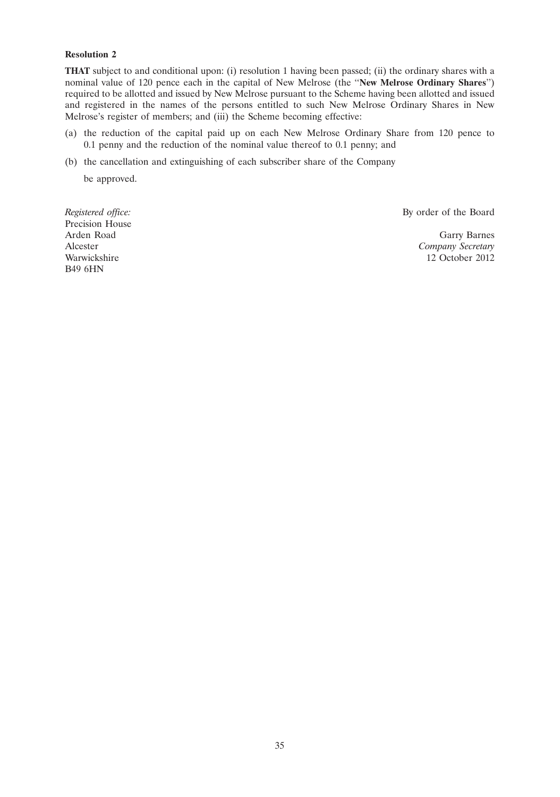#### **Resolution 2**

**THAT** subject to and conditional upon: (i) resolution 1 having been passed; (ii) the ordinary shares with a nominal value of 120 pence each in the capital of New Melrose (the ''**New Melrose Ordinary Shares**'') required to be allotted and issued by New Melrose pursuant to the Scheme having been allotted and issued and registered in the names of the persons entitled to such New Melrose Ordinary Shares in New Melrose's register of members; and (iii) the Scheme becoming effective:

- (a) the reduction of the capital paid up on each New Melrose Ordinary Share from 120 pence to 0.1 penny and the reduction of the nominal value thereof to 0.1 penny; and
- (b) the cancellation and extinguishing of each subscriber share of the Company

be approved.

Precision House B49 6HN

*Registered office:* By order of the Board

Arden Road Garry Barnes Alcester *Company Secretary* Warwickshire 12 October 2012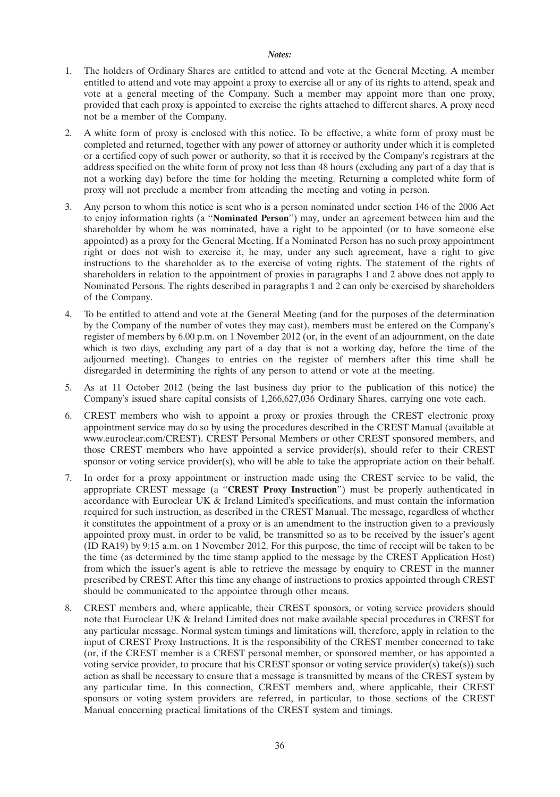#### *Notes:*

- 1. The holders of Ordinary Shares are entitled to attend and vote at the General Meeting. A member entitled to attend and vote may appoint a proxy to exercise all or any of its rights to attend, speak and vote at a general meeting of the Company. Such a member may appoint more than one proxy, provided that each proxy is appointed to exercise the rights attached to different shares. A proxy need not be a member of the Company.
- 2. A white form of proxy is enclosed with this notice. To be effective, a white form of proxy must be completed and returned, together with any power of attorney or authority under which it is completed or a certified copy of such power or authority, so that it is received by the Company's registrars at the address specified on the white form of proxy not less than 48 hours (excluding any part of a day that is not a working day) before the time for holding the meeting. Returning a completed white form of proxy will not preclude a member from attending the meeting and voting in person.
- 3. Any person to whom this notice is sent who is a person nominated under section 146 of the 2006 Act to enjoy information rights (a ''**Nominated Person**'') may, under an agreement between him and the shareholder by whom he was nominated, have a right to be appointed (or to have someone else appointed) as a proxy for the General Meeting. If a Nominated Person has no such proxy appointment right or does not wish to exercise it, he may, under any such agreement, have a right to give instructions to the shareholder as to the exercise of voting rights. The statement of the rights of shareholders in relation to the appointment of proxies in paragraphs 1 and 2 above does not apply to Nominated Persons. The rights described in paragraphs 1 and 2 can only be exercised by shareholders of the Company.
- 4. To be entitled to attend and vote at the General Meeting (and for the purposes of the determination by the Company of the number of votes they may cast), members must be entered on the Company's register of members by 6.00 p.m. on 1 November 2012 (or, in the event of an adjournment, on the date which is two days, excluding any part of a day that is not a working day, before the time of the adjourned meeting). Changes to entries on the register of members after this time shall be disregarded in determining the rights of any person to attend or vote at the meeting.
- 5. As at 11 October 2012 (being the last business day prior to the publication of this notice) the Company's issued share capital consists of 1,266,627,036 Ordinary Shares, carrying one vote each.
- 6. CREST members who wish to appoint a proxy or proxies through the CREST electronic proxy appointment service may do so by using the procedures described in the CREST Manual (available at www.euroclear.com/CREST). CREST Personal Members or other CREST sponsored members, and those CREST members who have appointed a service provider(s), should refer to their CREST sponsor or voting service provider(s), who will be able to take the appropriate action on their behalf.
- 7. In order for a proxy appointment or instruction made using the CREST service to be valid, the appropriate CREST message (a ''**CREST Proxy Instruction**'') must be properly authenticated in accordance with Euroclear UK & Ireland Limited's specifications, and must contain the information required for such instruction, as described in the CREST Manual. The message, regardless of whether it constitutes the appointment of a proxy or is an amendment to the instruction given to a previously appointed proxy must, in order to be valid, be transmitted so as to be received by the issuer's agent (ID RA19) by 9:15 a.m. on 1 November 2012. For this purpose, the time of receipt will be taken to be the time (as determined by the time stamp applied to the message by the CREST Application Host) from which the issuer's agent is able to retrieve the message by enquiry to CREST in the manner prescribed by CREST. After this time any change of instructions to proxies appointed through CREST should be communicated to the appointee through other means.
- 8. CREST members and, where applicable, their CREST sponsors, or voting service providers should note that Euroclear UK & Ireland Limited does not make available special procedures in CREST for any particular message. Normal system timings and limitations will, therefore, apply in relation to the input of CREST Proxy Instructions. It is the responsibility of the CREST member concerned to take (or, if the CREST member is a CREST personal member, or sponsored member, or has appointed a voting service provider, to procure that his CREST sponsor or voting service provider(s) take(s)) such action as shall be necessary to ensure that a message is transmitted by means of the CREST system by any particular time. In this connection, CREST members and, where applicable, their CREST sponsors or voting system providers are referred, in particular, to those sections of the CREST Manual concerning practical limitations of the CREST system and timings.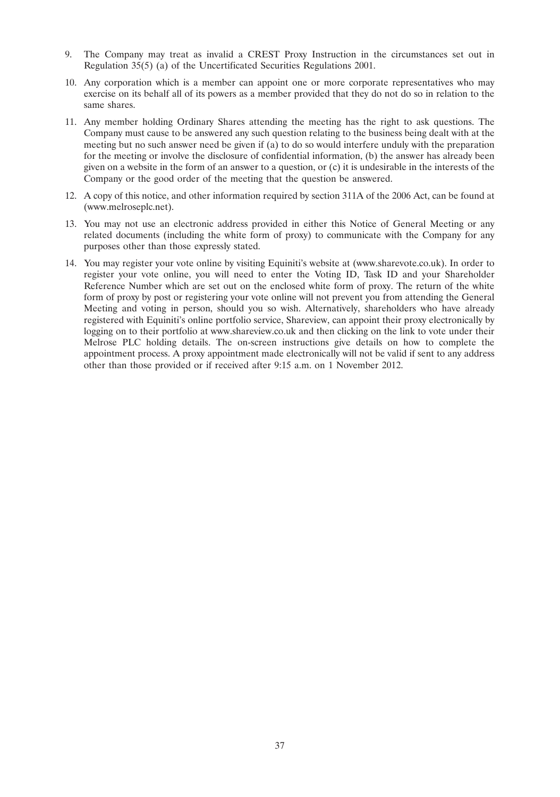- 9. The Company may treat as invalid a CREST Proxy Instruction in the circumstances set out in Regulation 35(5) (a) of the Uncertificated Securities Regulations 2001.
- 10. Any corporation which is a member can appoint one or more corporate representatives who may exercise on its behalf all of its powers as a member provided that they do not do so in relation to the same shares.
- 11. Any member holding Ordinary Shares attending the meeting has the right to ask questions. The Company must cause to be answered any such question relating to the business being dealt with at the meeting but no such answer need be given if  $(a)$  to do so would interfere unduly with the preparation for the meeting or involve the disclosure of confidential information, (b) the answer has already been given on a website in the form of an answer to a question, or (c) it is undesirable in the interests of the Company or the good order of the meeting that the question be answered.
- 12. A copy of this notice, and other information required by section 311A of the 2006 Act, can be found at (www.melroseplc.net).
- 13. You may not use an electronic address provided in either this Notice of General Meeting or any related documents (including the white form of proxy) to communicate with the Company for any purposes other than those expressly stated.
- 14. You may register your vote online by visiting Equiniti's website at (www.sharevote.co.uk). In order to register your vote online, you will need to enter the Voting ID, Task ID and your Shareholder Reference Number which are set out on the enclosed white form of proxy. The return of the white form of proxy by post or registering your vote online will not prevent you from attending the General Meeting and voting in person, should you so wish. Alternatively, shareholders who have already registered with Equiniti's online portfolio service, Shareview, can appoint their proxy electronically by logging on to their portfolio at www.shareview.co.uk and then clicking on the link to vote under their Melrose PLC holding details. The on-screen instructions give details on how to complete the appointment process. A proxy appointment made electronically will not be valid if sent to any address other than those provided or if received after 9:15 a.m. on 1 November 2012.